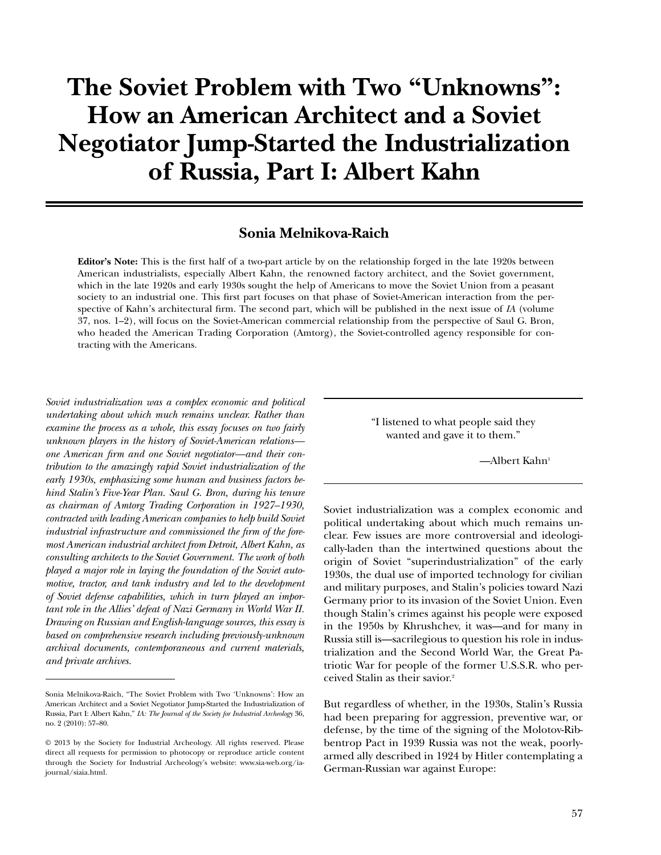# **The Soviet Problem with Two "Unknowns": How an American Architect and a Soviet Negotiator Jump-Started the Industrialization of Russia, Part I: Albert Kahn**

# **Sonia Melnikova-Raich**

**Editor's Note:** This is the irst half of a two-part article by on the relationship forged in the late 1920s between American industrialists, especially Albert Kahn, the renowned factory architect, and the Soviet government, which in the late 1920s and early 1930s sought the help of Americans to move the Soviet Union from a peasant society to an industrial one. This first part focuses on that phase of Soviet-American interaction from the perspective of Kahn's architectural irm. The second part, which will be published in the next issue of *IA* (volume 37, nos. 1–2), will focus on the Soviet-American commercial relationship from the perspective of Saul G. Bron, who headed the American Trading Corporation (Amtorg), the Soviet-controlled agency responsible for contracting with the Americans.

*Soviet industrialization was a complex economic and political undertaking about which much remains unclear. Rather than examine the process as a whole, this essay focuses on two fairly unknown players in the history of Soviet-American relations–– one American irm and one Soviet negotiator––and their contribution to the amazingly rapid Soviet industrialization of the early 1930s, emphasizing some human and business factors behind Stalin's Five-Year Plan. Saul G. Bron, during his tenure as chairman of Amtorg Trading Corporation in 1927–1930, contracted with leading American companies to help build Soviet*  industrial infrastructure and commissioned the firm of the fore*most American industrial architect from Detroit, Albert Kahn, as consulting architects to the Soviet Government. The work of both played a major role in laying the foundation of the Soviet automotive, tractor, and tank industry and led to the development of Soviet defense capabilities, which in turn played an important role in the Allies' defeat of Nazi Germany in World War II. Drawing on Russian and English-language sources, this essay is based on comprehensive research including previously-unknown archival documents, contemporaneous and current materials, and private archives.*

"I listened to what people said they wanted and gave it to them."

—Albert Kahn<sup>1</sup>

Soviet industrialization was a complex economic and political undertaking about which much remains unclear. Few issues are more controversial and ideologically-laden than the intertwined questions about the origin of Soviet "superindustrialization" of the early 1930s, the dual use of imported technology for civilian and military purposes, and Stalin's policies toward Nazi Germany prior to its invasion of the Soviet Union. Even though Stalin's crimes against his people were exposed in the 1950s by Khrushchev, it was—and for many in Russia still is—sacrilegious to question his role in industrialization and the Second World War, the Great Patriotic War for people of the former U.S.S.R. who perceived Stalin as their savior.<sup>2</sup>

But regardless of whether, in the 1930s, Stalin's Russia had been preparing for aggression, preventive war, or defense, by the time of the signing of the Molotov-Ribbentrop Pact in 1939 Russia was not the weak, poorlyarmed ally described in 1924 by Hitler contemplating a German-Russian war against Europe:

Sonia Melnikova-Raich, "The Soviet Problem with Two 'Unknowns': How an American Architect and a Soviet Negotiator Jump-Started the Industrialization of Russia, Part I: Albert Kahn," *IA: The Journal of the Society for Industrial Archeology* 36, no. 2 (2010): 57–80.

<sup>© 2013</sup> by the Society for Industrial Archeology. All rights reserved. Please direct all requests for permission to photocopy or reproduce article content through the Society for Industrial Archeology's website: www.sia-web.org/iajournal/siaia.html.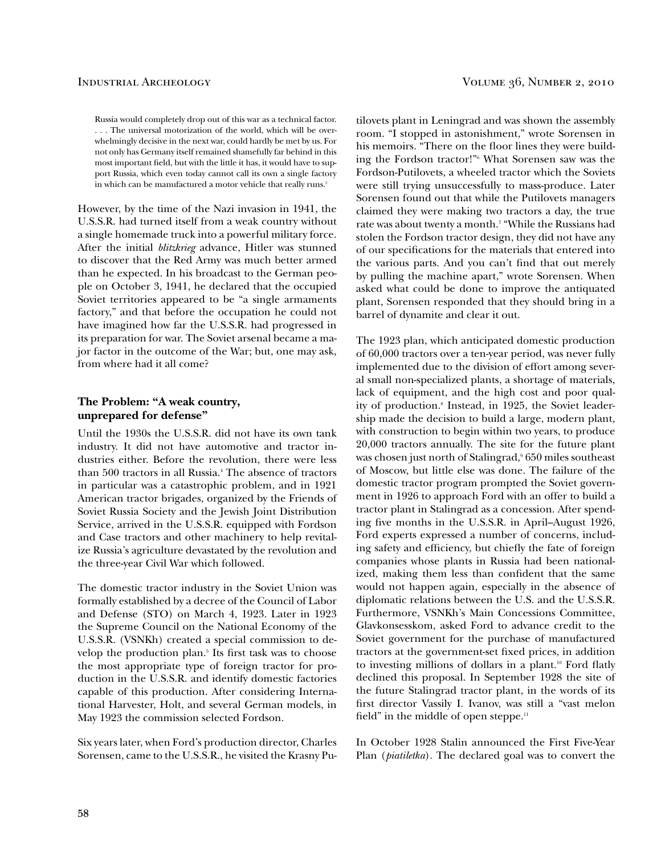Russia would completely drop out of this war as a technical factor. . . . The universal motorization of the world, which will be overwhelmingly decisive in the next war, could hardly be met by us. For not only has Germany itself remained shamefully far behind in this most important field, but with the little it has, it would have to support Russia, which even today cannot call its own a single factory in which can be manufactured a motor vehicle that really runs.<sup>3</sup>

However, by the time of the Nazi invasion in 1941, the U.S.S.R. had turned itself from a weak country without a single homemade truck into a powerful military force. After the initial *blitzkrieg* advance, Hitler was stunned to discover that the Red Army was much better armed than he expected. In his broadcast to the German people on October 3, 1941, he declared that the occupied Soviet territories appeared to be "a single armaments factory," and that before the occupation he could not have imagined how far the U.S.S.R. had progressed in its preparation for war. The Soviet arsenal became a major factor in the outcome of the War; but, one may ask, from where had it all come?

## **The Problem: "A weak country, unprepared for defense"**

Until the 1930s the U.S.S.R. did not have its own tank industry. It did not have automotive and tractor industries either. Before the revolution, there were less than 500 tractors in all Russia.<sup>4</sup> The absence of tractors in particular was a catastrophic problem, and in 1921 American tractor brigades, organized by the Friends of Soviet Russia Society and the Jewish Joint Distribution Service, arrived in the U.S.S.R. equipped with Fordson and Case tractors and other machinery to help revitalize Russia's agriculture devastated by the revolution and the three-year Civil War which followed.

The domestic tractor industry in the Soviet Union was formally established by a decree of the Council of Labor and Defense (STO) on March 4, 1923. Later in 1923 the Supreme Council on the National Economy of the U.S.S.R. (VSNKh) created a special commission to develop the production plan.<sup>5</sup> Its first task was to choose the most appropriate type of foreign tractor for production in the U.S.S.R. and identify domestic factories capable of this production. After considering International Harvester, Holt, and several German models, in May 1923 the commission selected Fordson.

Six years later, when Ford's production director, Charles Sorensen, came to the U.S.S.R., he visited the Krasny Pu-

tilovets plant in Leningrad and was shown the assembly room. "I stopped in astonishment," wrote Sorensen in his memoirs. "There on the loor lines they were building the Fordson tractor!"<sup>6</sup> What Sorensen saw was the Fordson-Putilovets, a wheeled tractor which the Soviets were still trying unsuccessfully to mass-produce. Later Sorensen found out that while the Putilovets managers claimed they were making two tractors a day, the true rate was about twenty a month.<sup>7</sup> "While the Russians had stolen the Fordson tractor design, they did not have any of our speciications for the materials that entered into the various parts. And you can't find that out merely by pulling the machine apart," wrote Sorensen. When asked what could be done to improve the antiquated plant, Sorensen responded that they should bring in a barrel of dynamite and clear it out.

The 1923 plan, which anticipated domestic production of 60,000 tractors over a ten-year period, was never fully implemented due to the division of effort among several small non-specialized plants, a shortage of materials, lack of equipment, and the high cost and poor quality of production.<sup>8</sup> Instead, in 1925, the Soviet leadership made the decision to build a large, modern plant, with construction to begin within two years, to produce 20,000 tractors annually. The site for the future plant was chosen just north of Stalingrad,<sup>9</sup> 650 miles southeast of Moscow, but little else was done. The failure of the domestic tractor program prompted the Soviet government in 1926 to approach Ford with an offer to build a tractor plant in Stalingrad as a concession. After spending five months in the U.S.S.R. in April–August 1926, Ford experts expressed a number of concerns, including safety and eficiency, but chiely the fate of foreign companies whose plants in Russia had been nationalized, making them less than confident that the same would not happen again, especially in the absence of diplomatic relations between the U.S. and the U.S.S.R. Furthermore, VSNKh's Main Concessions Committee, Glavkonsesskom, asked Ford to advance credit to the Soviet government for the purchase of manufactured tractors at the government-set fixed prices, in addition to investing millions of dollars in a plant.<sup>10</sup> Ford flatly declined this proposal. In September 1928 the site of the future Stalingrad tractor plant, in the words of its first director Vassily I. Ivanov, was still a "vast melon field" in the middle of open steppe. $\mathbf{u}$ 

In October 1928 Stalin announced the First Five-Year Plan (*piatiletka*). The declared goal was to convert the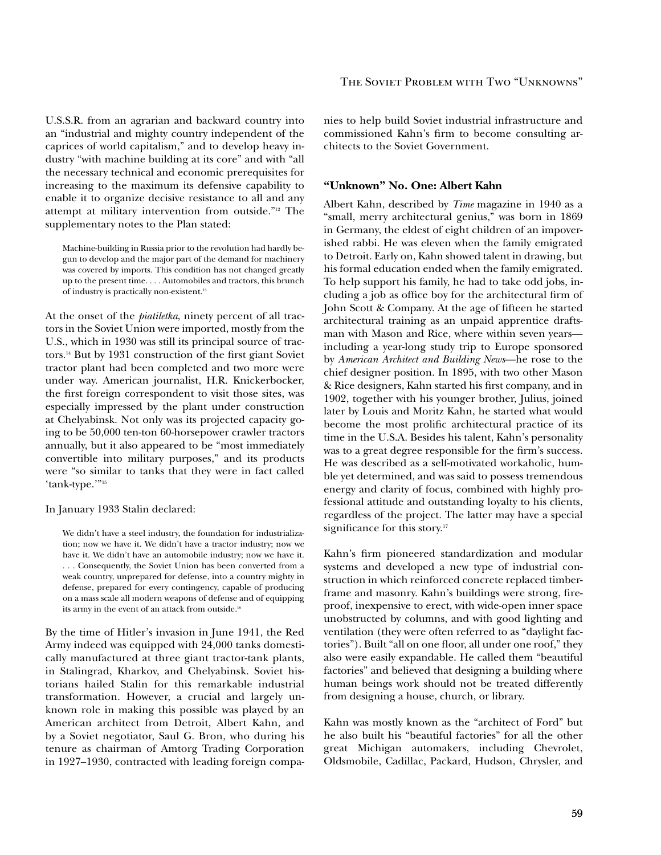U.S.S.R. from an agrarian and backward country into an "industrial and mighty country independent of the caprices of world capitalism," and to develop heavy industry "with machine building at its core" and with "all the necessary technical and economic prerequisites for increasing to the maximum its defensive capability to enable it to organize decisive resistance to all and any attempt at military intervention from outside."12 The supplementary notes to the Plan stated:

 Machine-building in Russia prior to the revolution had hardly begun to develop and the major part of the demand for machinery was covered by imports. This condition has not changed greatly up to the present time. . . . Automobiles and tractors, this brunch of industry is practically non-existent.<sup>13</sup>

At the onset of the *piatiletka*, ninety percent of all tractors in the Soviet Union were imported, mostly from the U.S., which in 1930 was still its principal source of tractors.<sup>14</sup> But by 1931 construction of the first giant Soviet tractor plant had been completed and two more were under way. American journalist, H.R. Knickerbocker, the first foreign correspondent to visit those sites, was especially impressed by the plant under construction at Chelyabinsk. Not only was its projected capacity going to be 50,000 ten-ton 60-horsepower crawler tractors annually, but it also appeared to be "most immediately convertible into military purposes," and its products were "so similar to tanks that they were in fact called 'tank-type.'"<sup>15</sup>

In January 1933 Stalin declared:

 We didn't have a steel industry, the foundation for industrialization; now we have it. We didn't have a tractor industry; now we have it. We didn't have an automobile industry; now we have it. . . . Consequently, the Soviet Union has been converted from a weak country, unprepared for defense, into a country mighty in defense, prepared for every contingency, capable of producing on a mass scale all modern weapons of defense and of equipping its army in the event of an attack from outside.<sup>16</sup>

By the time of Hitler's invasion in June 1941, the Red Army indeed was equipped with 24,000 tanks domestically manufactured at three giant tractor-tank plants, in Stalingrad, Kharkov, and Chelyabinsk. Soviet historians hailed Stalin for this remarkable industrial transformation. However, a crucial and largely unknown role in making this possible was played by an American architect from Detroit, Albert Kahn, and by a Soviet negotiator, Saul G. Bron, who during his tenure as chairman of Amtorg Trading Corporation in 1927–1930, contracted with leading foreign companies to help build Soviet industrial infrastructure and commissioned Kahn's firm to become consulting architects to the Soviet Government.

### **"Unknown" No. One: Albert Kahn**

Albert Kahn, described by *Time* magazine in 1940 as a "small, merry architectural genius," was born in 1869 in Germany, the eldest of eight children of an impoverished rabbi. He was eleven when the family emigrated to Detroit. Early on, Kahn showed talent in drawing, but his formal education ended when the family emigrated. To help support his family, he had to take odd jobs, including a job as office boy for the architectural firm of John Scott & Company. At the age of fifteen he started architectural training as an unpaid apprentice draftsman with Mason and Rice, where within seven years including a year-long study trip to Europe sponsored by *American Architect and Building News*—he rose to the chief designer position. In 1895, with two other Mason & Rice designers, Kahn started his first company, and in 1902, together with his younger brother, Julius, joined later by Louis and Moritz Kahn, he started what would become the most prolific architectural practice of its time in the U.S.A. Besides his talent, Kahn's personality was to a great degree responsible for the firm's success. He was described as a self-motivated workaholic, humble yet determined, and was said to possess tremendous energy and clarity of focus, combined with highly professional attitude and outstanding loyalty to his clients, regardless of the project. The latter may have a special significance for this story.<sup>17</sup>

Kahn's firm pioneered standardization and modular systems and developed a new type of industrial construction in which reinforced concrete replaced timberframe and masonry. Kahn's buildings were strong, fireproof, inexpensive to erect, with wide-open inner space unobstructed by columns, and with good lighting and ventilation (they were often referred to as "daylight factories"). Built "all on one floor, all under one roof," they also were easily expandable. He called them "beautiful factories" and believed that designing a building where human beings work should not be treated differently from designing a house, church, or library.

Kahn was mostly known as the "architect of Ford" but he also built his "beautiful factories" for all the other great Michigan automakers, including Chevrolet, Oldsmobile, Cadillac, Packard, Hudson, Chrysler, and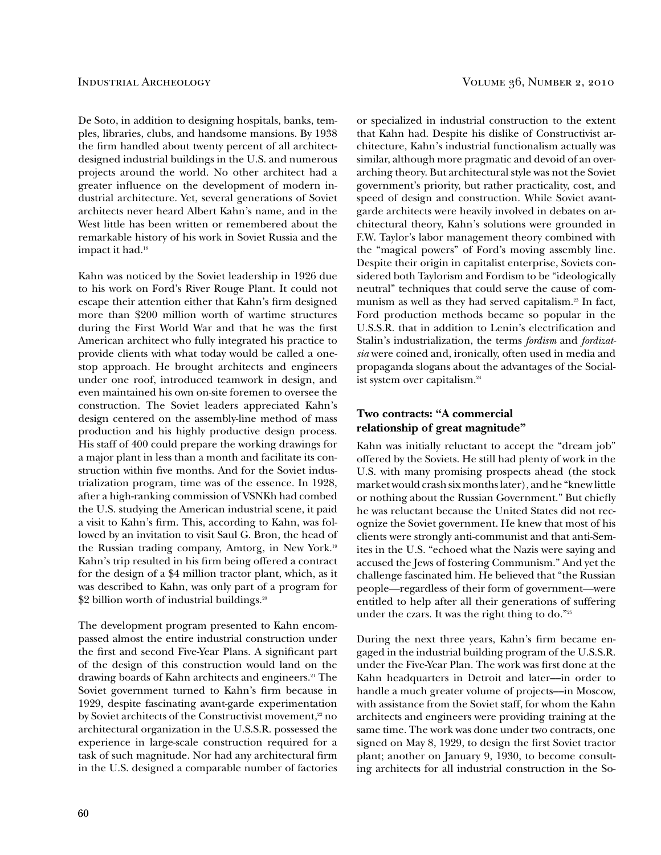De Soto, in addition to designing hospitals, banks, temples, libraries, clubs, and handsome mansions. By 1938 the firm handled about twenty percent of all architectdesigned industrial buildings in the U.S. and numerous projects around the world. No other architect had a greater inluence on the development of modern industrial architecture. Yet, several generations of Soviet architects never heard Albert Kahn's name, and in the West little has been written or remembered about the remarkable history of his work in Soviet Russia and the impact it had.<sup>18</sup>

Kahn was noticed by the Soviet leadership in 1926 due to his work on Ford's River Rouge Plant. It could not escape their attention either that Kahn's firm designed more than \$200 million worth of wartime structures during the First World War and that he was the first American architect who fully integrated his practice to provide clients with what today would be called a onestop approach. He brought architects and engineers under one roof, introduced teamwork in design, and even maintained his own on-site foremen to oversee the construction. The Soviet leaders appreciated Kahn's design centered on the assembly-line method of mass production and his highly productive design process. His staff of 400 could prepare the working drawings for a major plant in less than a month and facilitate its construction within five months. And for the Soviet industrialization program, time was of the essence. In 1928, after a high-ranking commission of VSNKh had combed the U.S. studying the American industrial scene, it paid a visit to Kahn's firm. This, according to Kahn, was followed by an invitation to visit Saul G. Bron, the head of the Russian trading company, Amtorg, in New York.<sup>19</sup> Kahn's trip resulted in his firm being offered a contract for the design of a \$4 million tractor plant, which, as it was described to Kahn, was only part of a program for \$2 billion worth of industrial buildings.<sup>20</sup>

The development program presented to Kahn encompassed almost the entire industrial construction under the first and second Five-Year Plans. A significant part of the design of this construction would land on the drawing boards of Kahn architects and engineers.<sup>21</sup> The Soviet government turned to Kahn's firm because in 1929, despite fascinating avant-garde experimentation by Soviet architects of the Constructivist movement,<sup>22</sup> no architectural organization in the U.S.S.R. possessed the experience in large-scale construction required for a task of such magnitude. Nor had any architectural firm in the U.S. designed a comparable number of factories or specialized in industrial construction to the extent that Kahn had. Despite his dislike of Constructivist architecture, Kahn's industrial functionalism actually was similar, although more pragmatic and devoid of an overarching theory. But architectural style was not the Soviet government's priority, but rather practicality, cost, and speed of design and construction. While Soviet avantgarde architects were heavily involved in debates on architectural theory, Kahn's solutions were grounded in F.W. Taylor's labor management theory combined with the "magical powers" of Ford's moving assembly line. Despite their origin in capitalist enterprise, Soviets considered both Taylorism and Fordism to be "ideologically neutral" techniques that could serve the cause of communism as well as they had served capitalism.<sup>23</sup> In fact, Ford production methods became so popular in the U.S.S.R. that in addition to Lenin's electrification and Stalin's industrialization, the terms *fordism* and *fordizatsia* were coined and, ironically, often used in media and propaganda slogans about the advantages of the Socialist system over capitalism.<sup>24</sup>

# **Two contracts: "A commercial relationship of great magnitude"**

Kahn was initially reluctant to accept the "dream job" offered by the Soviets. He still had plenty of work in the U.S. with many promising prospects ahead (the stock market would crash six months later), and he "knew little or nothing about the Russian Government." But chiely he was reluctant because the United States did not recognize the Soviet government. He knew that most of his clients were strongly anti-communist and that anti-Semites in the U.S. "echoed what the Nazis were saying and accused the Jews of fostering Communism." And yet the challenge fascinated him. He believed that "the Russian people—regardless of their form of government—were entitled to help after all their generations of suffering under the czars. It was the right thing to do."<sup>25</sup>

During the next three years, Kahn's firm became engaged in the industrial building program of the U.S.S.R. under the Five-Year Plan. The work was first done at the Kahn headquarters in Detroit and later––in order to handle a much greater volume of projects––in Moscow, with assistance from the Soviet staff, for whom the Kahn architects and engineers were providing training at the same time. The work was done under two contracts, one signed on May 8, 1929, to design the first Soviet tractor plant; another on January 9, 1930, to become consulting architects for all industrial construction in the So-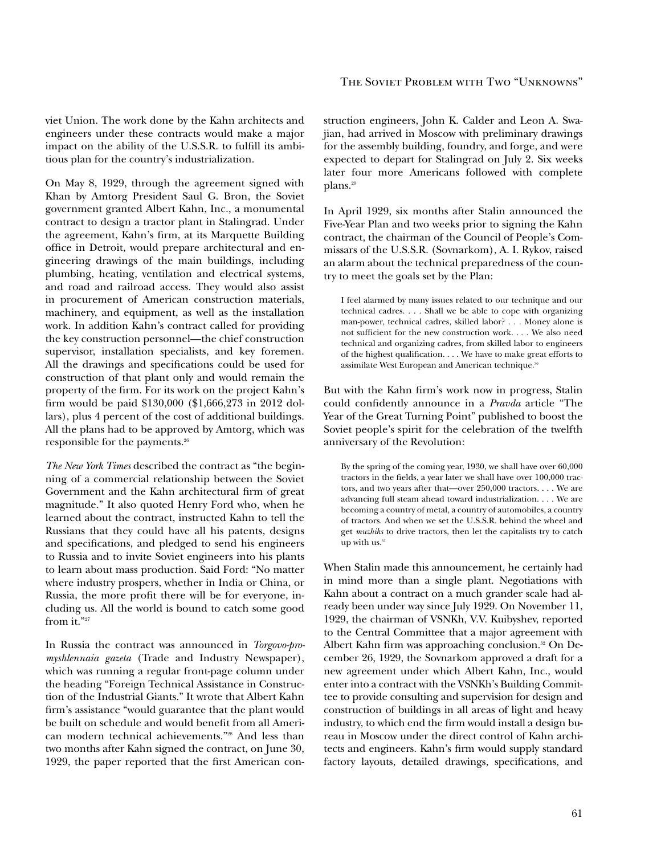### The Soviet Problem with Two "Unknowns"

viet Union. The work done by the Kahn architects and engineers under these contracts would make a major impact on the ability of the U.S.S.R. to fulill its ambitious plan for the country's industrialization.

On May 8, 1929, through the agreement signed with Khan by Amtorg President Saul G. Bron, the Soviet government granted Albert Kahn, Inc., a monumental contract to design a tractor plant in Stalingrad. Under the agreement, Kahn's firm, at its Marquette Building ofice in Detroit, would prepare architectural and engineering drawings of the main buildings, including plumbing, heating, ventilation and electrical systems, and road and railroad access. They would also assist in procurement of American construction materials, machinery, and equipment, as well as the installation work. In addition Kahn's contract called for providing the key construction personnel—the chief construction supervisor, installation specialists, and key foremen. All the drawings and specifications could be used for construction of that plant only and would remain the property of the irm. For its work on the project Kahn's firm would be paid \$130,000 (\$1,666,273 in 2012 dollars), plus 4 percent of the cost of additional buildings. All the plans had to be approved by Amtorg, which was responsible for the payments.<sup>26</sup>

*The New York Times* described the contract as "the beginning of a commercial relationship between the Soviet Government and the Kahn architectural firm of great magnitude." It also quoted Henry Ford who, when he learned about the contract, instructed Kahn to tell the Russians that they could have all his patents, designs and specifications, and pledged to send his engineers to Russia and to invite Soviet engineers into his plants to learn about mass production. Said Ford: "No matter where industry prospers, whether in India or China, or Russia, the more profit there will be for everyone, including us. All the world is bound to catch some good from it."27

In Russia the contract was announced in *Torgovo-promyshlennaia gazeta* (Trade and Industry Newspaper), which was running a regular front-page column under the heading "Foreign Technical Assistance in Construction of the Industrial Giants." It wrote that Albert Kahn firm's assistance "would guarantee that the plant would be built on schedule and would benefit from all American modern technical achievements."28 And less than two months after Kahn signed the contract, on June 30, 1929, the paper reported that the first American con-

struction engineers, John K. Calder and Leon A. Swajian, had arrived in Moscow with preliminary drawings for the assembly building, foundry, and forge, and were expected to depart for Stalingrad on July 2. Six weeks later four more Americans followed with complete plans.<sup>29</sup>

In April 1929, six months after Stalin announced the Five-Year Plan and two weeks prior to signing the Kahn contract, the chairman of the Council of People's Commissars of the U.S.S.R. (Sovnarkom), A. I. Rykov, raised an alarm about the technical preparedness of the country to meet the goals set by the Plan:

 I feel alarmed by many issues related to our technique and our technical cadres. . . . Shall we be able to cope with organizing man-power, technical cadres, skilled labor? . . . Money alone is not suficient for the new construction work. . . . We also need technical and organizing cadres, from skilled labor to engineers of the highest qualification. . . . We have to make great efforts to assimilate West European and American technique.<sup>30</sup>

But with the Kahn firm's work now in progress, Stalin could confidently announce in a *Pravda* article "The Year of the Great Turning Point" published to boost the Soviet people's spirit for the celebration of the twelfth anniversary of the Revolution:

 By the spring of the coming year, 1930, we shall have over 60,000 tractors in the fields, a year later we shall have over  $100,000$  tractors, and two years after that—over 250,000 tractors. . . . We are advancing full steam ahead toward industrialization. . . . We are becoming a country of metal, a country of automobiles, a country of tractors. And when we set the U.S.S.R. behind the wheel and get *muzhiks* to drive tractors, then let the capitalists try to catch up with us. $31$ 

When Stalin made this announcement, he certainly had in mind more than a single plant. Negotiations with Kahn about a contract on a much grander scale had already been under way since July 1929. On November 11, 1929, the chairman of VSNKh, V.V. Kuibyshev, reported to the Central Committee that a major agreement with Albert Kahn firm was approaching conclusion.<sup>32</sup> On December 26, 1929, the Sovnarkom approved a draft for a new agreement under which Albert Kahn, Inc., would enter into a contract with the VSNKh's Building Committee to provide consulting and supervision for design and construction of buildings in all areas of light and heavy industry, to which end the firm would install a design bureau in Moscow under the direct control of Kahn architects and engineers. Kahn's firm would supply standard factory layouts, detailed drawings, specifications, and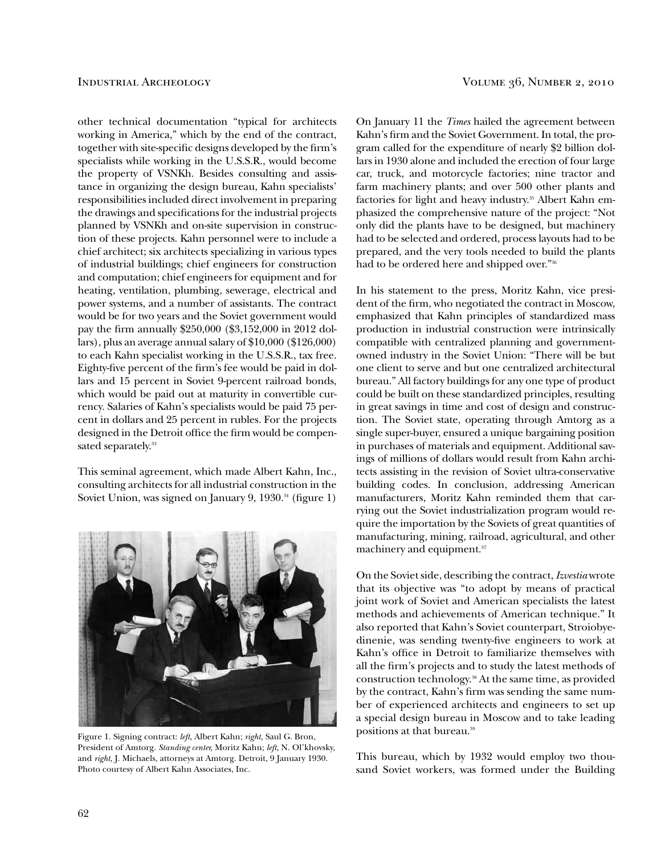other technical documentation "typical for architects working in America," which by the end of the contract, together with site-specific designs developed by the firm's specialists while working in the U.S.S.R., would become the property of VSNKh. Besides consulting and assistance in organizing the design bureau, Kahn specialists' responsibilities included direct involvement in preparing the drawings and specifications for the industrial projects planned by VSNKh and on-site supervision in construction of these projects. Kahn personnel were to include a chief architect; six architects specializing in various types of industrial buildings; chief engineers for construction and computation; chief engineers for equipment and for heating, ventilation, plumbing, sewerage, electrical and power systems, and a number of assistants. The contract would be for two years and the Soviet government would pay the firm annually \$250,000 (\$3,152,000 in 2012 dollars), plus an average annual salary of \$10,000 (\$126,000) to each Kahn specialist working in the U.S.S.R., tax free. Eighty-five percent of the firm's fee would be paid in dollars and 15 percent in Soviet 9-percent railroad bonds, which would be paid out at maturity in convertible currency. Salaries of Kahn's specialists would be paid 75 percent in dollars and 25 percent in rubles. For the projects designed in the Detroit office the firm would be compensated separately.<sup>33</sup>

This seminal agreement, which made Albert Kahn, Inc., consulting architects for all industrial construction in the Soviet Union, was signed on January 9, 1930.<sup>34</sup> (figure 1)



Figure 1. Signing contract: *left,* Albert Kahn; *right,* Saul G. Bron, President of Amtorg. *Standing center,* Moritz Kahn; *left,* N. Ol'khovsky, and *right,* J. Michaels, attorneys at Amtorg. Detroit, 9 January 1930. Photo courtesy of Albert Kahn Associates, Inc.

On January 11 the *Times* hailed the agreement between Kahn's firm and the Soviet Government. In total, the program called for the expenditure of nearly \$2 billion dollars in 1930 alone and included the erection of four large car, truck, and motorcycle factories; nine tractor and farm machinery plants; and over 500 other plants and factories for light and heavy industry.<sup>35</sup> Albert Kahn emphasized the comprehensive nature of the project: "Not only did the plants have to be designed, but machinery had to be selected and ordered, process layouts had to be prepared, and the very tools needed to build the plants had to be ordered here and shipped over."<sup>36</sup>

In his statement to the press, Moritz Kahn, vice president of the firm, who negotiated the contract in Moscow, emphasized that Kahn principles of standardized mass production in industrial construction were intrinsically compatible with centralized planning and governmentowned industry in the Soviet Union: "There will be but one client to serve and but one centralized architectural bureau." All factory buildings for any one type of product could be built on these standardized principles, resulting in great savings in time and cost of design and construction. The Soviet state, operating through Amtorg as a single super-buyer, ensured a unique bargaining position in purchases of materials and equipment. Additional savings of millions of dollars would result from Kahn architects assisting in the revision of Soviet ultra-conservative building codes. In conclusion, addressing American manufacturers, Moritz Kahn reminded them that carrying out the Soviet industrialization program would require the importation by the Soviets of great quantities of manufacturing, mining, railroad, agricultural, and other machinery and equipment.<sup>37</sup>

On the Soviet side, describing the contract, *Izvestia* wrote that its objective was "to adopt by means of practical joint work of Soviet and American specialists the latest methods and achievements of American technique." It also reported that Kahn's Soviet counterpart, Stroiobyedinenie, was sending twenty-five engineers to work at Kahn's ofice in Detroit to familiarize themselves with all the firm's projects and to study the latest methods of construction technology.38 At the same time, as provided by the contract, Kahn's firm was sending the same number of experienced architects and engineers to set up a special design bureau in Moscow and to take leading positions at that bureau.<sup>39</sup>

This bureau, which by 1932 would employ two thousand Soviet workers, was formed under the Building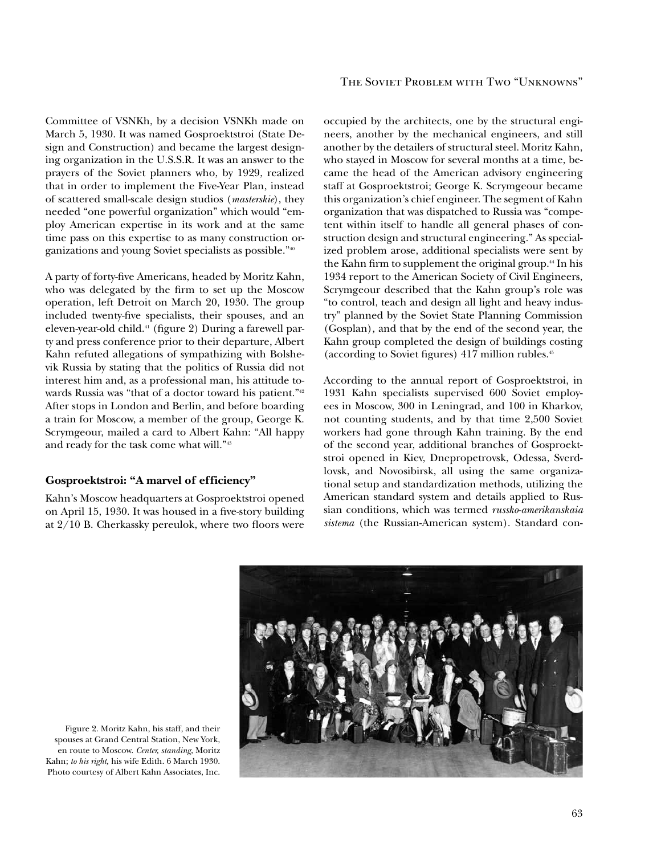Committee of VSNKh, by a decision VSNKh made on March 5, 1930. It was named Gosproektstroi (State Design and Construction) and became the largest designing organization in the U.S.S.R. It was an answer to the prayers of the Soviet planners who, by 1929, realized that in order to implement the Five-Year Plan, instead of scattered small-scale design studios (*masterskie*), they needed "one powerful organization" which would "employ American expertise in its work and at the same time pass on this expertise to as many construction organizations and young Soviet specialists as possible."<sup>40</sup>

A party of forty-ive Americans, headed by Moritz Kahn, who was delegated by the firm to set up the Moscow operation, left Detroit on March 20, 1930. The group included twenty-five specialists, their spouses, and an eleven-year-old child.<sup>41</sup> (figure 2) During a farewell party and press conference prior to their departure, Albert Kahn refuted allegations of sympathizing with Bolshevik Russia by stating that the politics of Russia did not interest him and, as a professional man, his attitude towards Russia was "that of a doctor toward his patient."<sup>42</sup> After stops in London and Berlin, and before boarding a train for Moscow, a member of the group, George K. Scrymgeour, mailed a card to Albert Kahn: "All happy and ready for the task come what will."<sup>43</sup>

# **Gosproektstroi: "A marvel of efficiency"**

Kahn's Moscow headquarters at Gosproektstroi opened on April 15, 1930. It was housed in a five-story building at 2/10 B. Cherkassky pereulok, where two loors were occupied by the architects, one by the structural engineers, another by the mechanical engineers, and still another by the detailers of structural steel. Moritz Kahn, who stayed in Moscow for several months at a time, became the head of the American advisory engineering staff at Gosproektstroi; George K. Scrymgeour became this organization's chief engineer. The segment of Kahn organization that was dispatched to Russia was "competent within itself to handle all general phases of construction design and structural engineering." As specialized problem arose, additional specialists were sent by the Kahn firm to supplement the original group.<sup>44</sup> In his 1934 report to the American Society of Civil Engineers, Scrymgeour described that the Kahn group's role was "to control, teach and design all light and heavy industry" planned by the Soviet State Planning Commission (Gosplan)*,* and that by the end of the second year, the Kahn group completed the design of buildings costing (according to Soviet figures) 417 million rubles.<sup>45</sup>

According to the annual report of Gosproektstroi, in 1931 Kahn specialists supervised 600 Soviet employees in Moscow, 300 in Leningrad, and 100 in Kharkov, not counting students, and by that time 2,500 Soviet workers had gone through Kahn training. By the end of the second year, additional branches of Gosproektstroi opened in Kiev, Dnepropetrovsk, Odessa, Sverdlovsk, and Novosibirsk, all using the same organizational setup and standardization methods, utilizing the American standard system and details applied to Russian conditions, which was termed *russko-amerikanskaia sistema* (the Russian-American system). Standard con-



Figure 2. Moritz Kahn, his staff, and their spouses at Grand Central Station, New York, en route to Moscow. *Center, standing*, Moritz Kahn; *to his right,* his wife Edith. 6 March 1930. Photo courtesy of Albert Kahn Associates, Inc.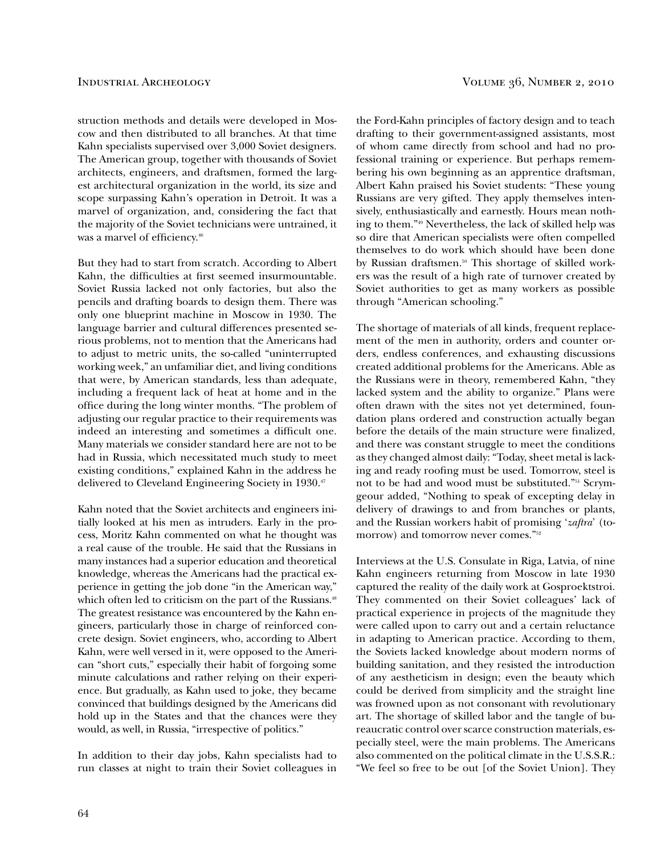struction methods and details were developed in Moscow and then distributed to all branches. At that time Kahn specialists supervised over 3,000 Soviet designers. The American group, together with thousands of Soviet architects, engineers, and draftsmen, formed the largest architectural organization in the world, its size and scope surpassing Kahn's operation in Detroit. It was a marvel of organization, and, considering the fact that the majority of the Soviet technicians were untrained, it was a marvel of efficiency.<sup>46</sup>

But they had to start from scratch. According to Albert Kahn, the difficulties at first seemed insurmountable. Soviet Russia lacked not only factories, but also the pencils and drafting boards to design them. There was only one blueprint machine in Moscow in 1930. The language barrier and cultural differences presented serious problems, not to mention that the Americans had to adjust to metric units, the so-called "uninterrupted working week," an unfamiliar diet, and living conditions that were, by American standards, less than adequate, including a frequent lack of heat at home and in the ofice during the long winter months. "The problem of adjusting our regular practice to their requirements was indeed an interesting and sometimes a dificult one. Many materials we consider standard here are not to be had in Russia, which necessitated much study to meet existing conditions," explained Kahn in the address he delivered to Cleveland Engineering Society in 1930.<sup>47</sup>

Kahn noted that the Soviet architects and engineers initially looked at his men as intruders. Early in the process, Moritz Kahn commented on what he thought was a real cause of the trouble. He said that the Russians in many instances had a superior education and theoretical knowledge, whereas the Americans had the practical experience in getting the job done "in the American way," which often led to criticism on the part of the Russians.<sup>48</sup> The greatest resistance was encountered by the Kahn engineers, particularly those in charge of reinforced concrete design. Soviet engineers, who, according to Albert Kahn, were well versed in it, were opposed to the American "short cuts," especially their habit of forgoing some minute calculations and rather relying on their experience. But gradually, as Kahn used to joke, they became convinced that buildings designed by the Americans did hold up in the States and that the chances were they would, as well, in Russia, "irrespective of politics."

In addition to their day jobs, Kahn specialists had to run classes at night to train their Soviet colleagues in

the Ford-Kahn principles of factory design and to teach drafting to their government-assigned assistants, most of whom came directly from school and had no professional training or experience. But perhaps remembering his own beginning as an apprentice draftsman, Albert Kahn praised his Soviet students: "These young Russians are very gifted. They apply themselves intensively, enthusiastically and earnestly. Hours mean nothing to them."49 Nevertheless, the lack of skilled help was so dire that American specialists were often compelled themselves to do work which should have been done by Russian draftsmen.<sup>50</sup> This shortage of skilled workers was the result of a high rate of turnover created by Soviet authorities to get as many workers as possible through "American schooling."

The shortage of materials of all kinds, frequent replacement of the men in authority, orders and counter orders, endless conferences, and exhausting discussions created additional problems for the Americans. Able as the Russians were in theory, remembered Kahn, "they lacked system and the ability to organize." Plans were often drawn with the sites not yet determined, foundation plans ordered and construction actually began before the details of the main structure were finalized, and there was constant struggle to meet the conditions as they changed almost daily: "Today, sheet metal is lacking and ready roofing must be used. Tomorrow, steel is not to be had and wood must be substituted."51 Scrymgeour added, "Nothing to speak of excepting delay in delivery of drawings to and from branches or plants, and the Russian workers habit of promising '*zaftra*' (tomorrow) and tomorrow never comes."<sup>52</sup>

Interviews at the U.S. Consulate in Riga, Latvia, of nine Kahn engineers returning from Moscow in late 1930 captured the reality of the daily work at Gosproektstroi. They commented on their Soviet colleagues' lack of practical experience in projects of the magnitude they were called upon to carry out and a certain reluctance in adapting to American practice. According to them, the Soviets lacked knowledge about modern norms of building sanitation, and they resisted the introduction of any aestheticism in design; even the beauty which could be derived from simplicity and the straight line was frowned upon as not consonant with revolutionary art. The shortage of skilled labor and the tangle of bureaucratic control over scarce construction materials, especially steel, were the main problems. The Americans also commented on the political climate in the U.S.S.R.: "We feel so free to be out [of the Soviet Union]. They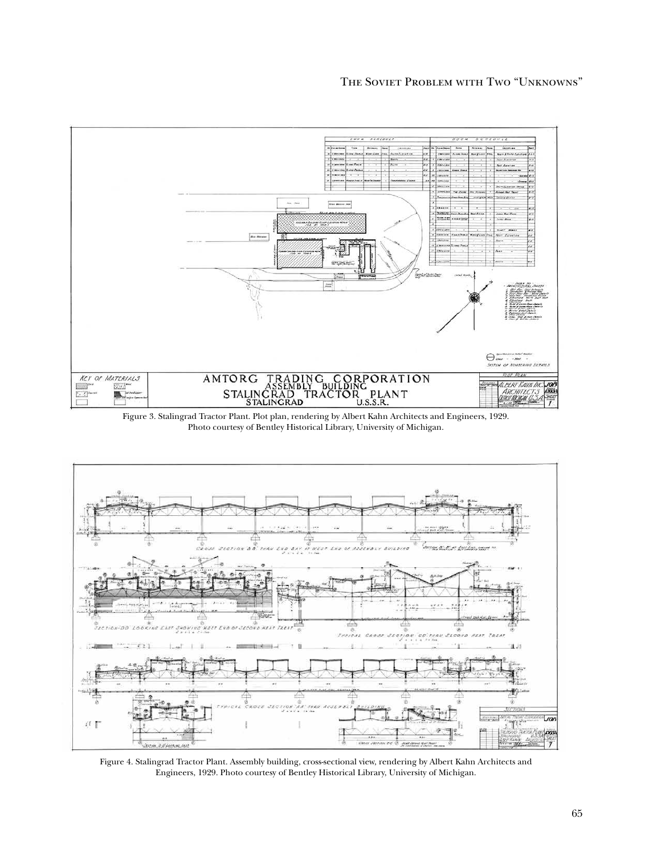

Figure 3. Stalingrad Tractor Plant. Plot plan, rendering by Albert Kahn Architects and Engineers, 1929. Photo courtesy of Bentley Historical Library, University of Michigan.



Figure 4. Stalingrad Tractor Plant. Assembly building, cross-sectional view, rendering by Albert Kahn Architects and Engineers, 1929. Photo courtesy of Bentley Historical Library, University of Michigan.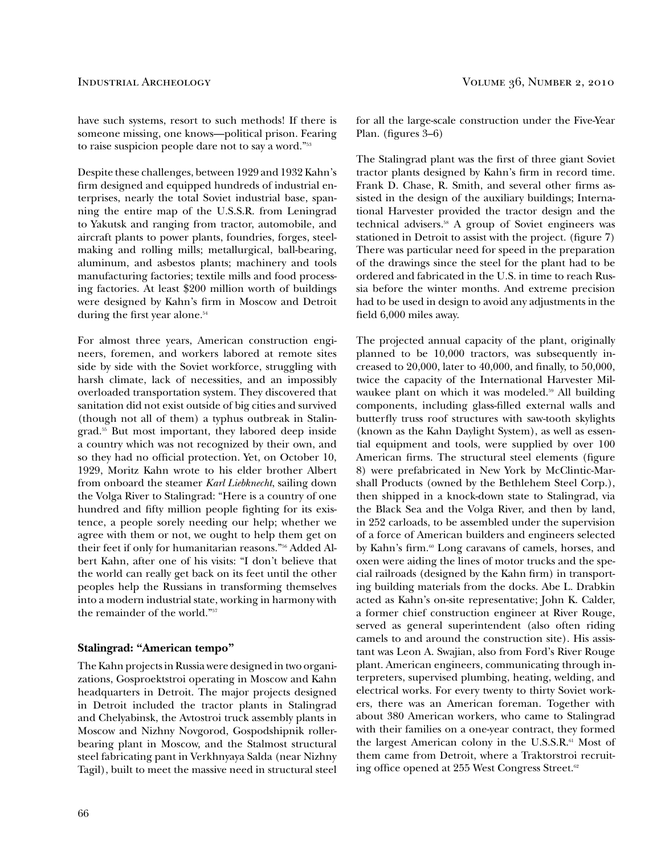have such systems, resort to such methods! If there is someone missing, one knows—political prison. Fearing to raise suspicion people dare not to say a word."<sup>53</sup>

Despite these challenges, between 1929 and 1932 Kahn's firm designed and equipped hundreds of industrial enterprises, nearly the total Soviet industrial base, spanning the entire map of the U.S.S.R. from Leningrad to Yakutsk and ranging from tractor, automobile, and aircraft plants to power plants, foundries, forges, steelmaking and rolling mills; metallurgical, ball-bearing, aluminum, and asbestos plants; machinery and tools manufacturing factories; textile mills and food processing factories. At least \$200 million worth of buildings were designed by Kahn's firm in Moscow and Detroit during the first year alone.<sup>54</sup>

For almost three years, American construction engineers, foremen, and workers labored at remote sites side by side with the Soviet workforce, struggling with harsh climate, lack of necessities, and an impossibly overloaded transportation system. They discovered that sanitation did not exist outside of big cities and survived (though not all of them) a typhus outbreak in Stalingrad.55 But most important, they labored deep inside a country which was not recognized by their own, and so they had no oficial protection. Yet, on October 10, 1929, Moritz Kahn wrote to his elder brother Albert from onboard the steamer *Karl Liebknecht*, sailing down the Volga River to Stalingrad: "Here is a country of one hundred and fifty million people fighting for its existence, a people sorely needing our help; whether we agree with them or not, we ought to help them get on their feet if only for humanitarian reasons."56 Added Albert Kahn, after one of his visits: "I don't believe that the world can really get back on its feet until the other peoples help the Russians in transforming themselves into a modern industrial state, working in harmony with the remainder of the world."<sup>57</sup>

### **Stalingrad: "American tempo"**

The Kahn projects in Russia were designed in two organizations, Gosproektstroi operating in Moscow and Kahn headquarters in Detroit. The major projects designed in Detroit included the tractor plants in Stalingrad and Chelyabinsk, the Avtostroi truck assembly plants in Moscow and Nizhny Novgorod, Gospodshipnik rollerbearing plant in Moscow, and the Stalmost structural steel fabricating pant in Verkhnyaya Salda (near Nizhny Tagil), built to meet the massive need in structural steel

for all the large-scale construction under the Five-Year Plan. (figures  $3-6$ )

The Stalingrad plant was the first of three giant Soviet tractor plants designed by Kahn's firm in record time. Frank D. Chase, R. Smith, and several other firms assisted in the design of the auxiliary buildings; International Harvester provided the tractor design and the technical advisers.<sup>58</sup> A group of Soviet engineers was stationed in Detroit to assist with the project. (figure 7) There was particular need for speed in the preparation of the drawings since the steel for the plant had to be ordered and fabricated in the U.S. in time to reach Russia before the winter months. And extreme precision had to be used in design to avoid any adjustments in the field 6,000 miles away.

The projected annual capacity of the plant, originally planned to be 10,000 tractors, was subsequently increased to  $20,000$ , later to  $40,000$ , and finally, to  $50,000$ , twice the capacity of the International Harvester Milwaukee plant on which it was modeled.<sup>59</sup> All building components, including glass-filled external walls and butterly truss roof structures with saw-tooth skylights (known as the Kahn Daylight System), as well as essential equipment and tools, were supplied by over 100 American firms. The structural steel elements (figure 8) were prefabricated in New York by McClintic-Marshall Products (owned by the Bethlehem Steel Corp.), then shipped in a knock-down state to Stalingrad, via the Black Sea and the Volga River, and then by land, in 252 carloads, to be assembled under the supervision of a force of American builders and engineers selected by Kahn's firm.<sup>60</sup> Long caravans of camels, horses, and oxen were aiding the lines of motor trucks and the special railroads (designed by the Kahn firm) in transporting building materials from the docks. Abe L. Drabkin acted as Kahn's on-site representative; John K. Calder, a former chief construction engineer at River Rouge, served as general superintendent (also often riding camels to and around the construction site). His assistant was Leon A. Swajian, also from Ford's River Rouge plant. American engineers, communicating through interpreters, supervised plumbing, heating, welding, and electrical works. For every twenty to thirty Soviet workers, there was an American foreman. Together with about 380 American workers, who came to Stalingrad with their families on a one-year contract, they formed the largest American colony in the U.S.S.R.<sup>61</sup> Most of them came from Detroit, where a Traktorstroi recruiting office opened at 255 West Congress Street.<sup>62</sup>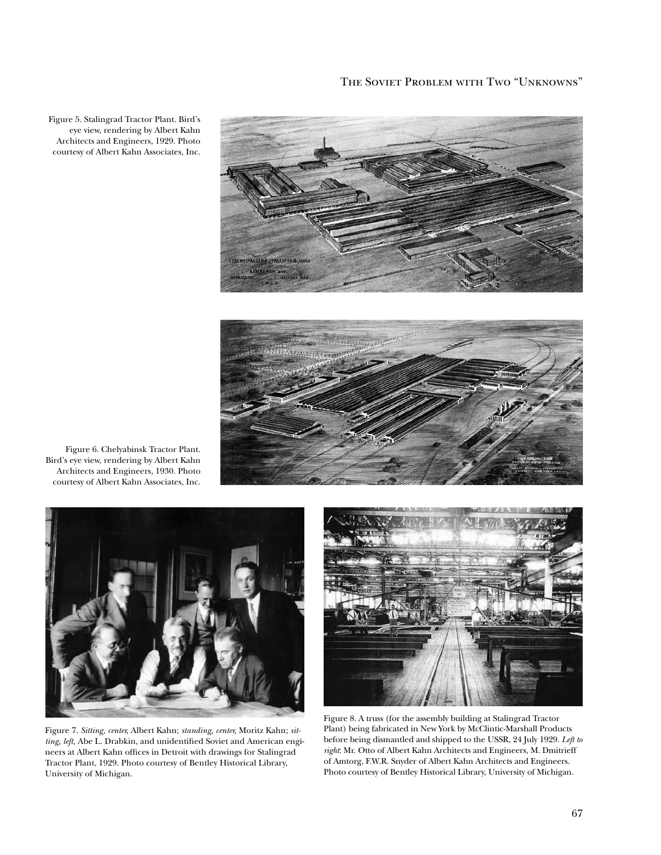

Figure 5. Stalingrad Tractor Plant. Bird's eye view, rendering by Albert Kahn Architects and Engineers, 1929. Photo courtesy of Albert Kahn Associates, Inc.



Figure 6. Chelyabinsk Tractor Plant. Bird's eye view, rendering by Albert Kahn Architects and Engineers, 1930. Photo courtesy of Albert Kahn Associates, Inc.



Figure 7. *Sitting, center,* Albert Kahn; *standing, center,* Moritz Kahn; *sit*ting, left, Abe L. Drabkin, and unidentified Soviet and American engineers at Albert Kahn ofices in Detroit with drawings for Stalingrad Tractor Plant, 1929. Photo courtesy of Bentley Historical Library, University of Michigan.



Figure 8. A truss (for the assembly building at Stalingrad Tractor Plant) being fabricated in New York by McClintic-Marshall Products before being dismantled and shipped to the USSR, 24 July 1929. *Left to right*: Mr. Otto of Albert Kahn Architects and Engineers, M. Dmitrieff of Amtorg, F.W.R. Snyder of Albert Kahn Architects and Engineers. Photo courtesy of Bentley Historical Library, University of Michigan.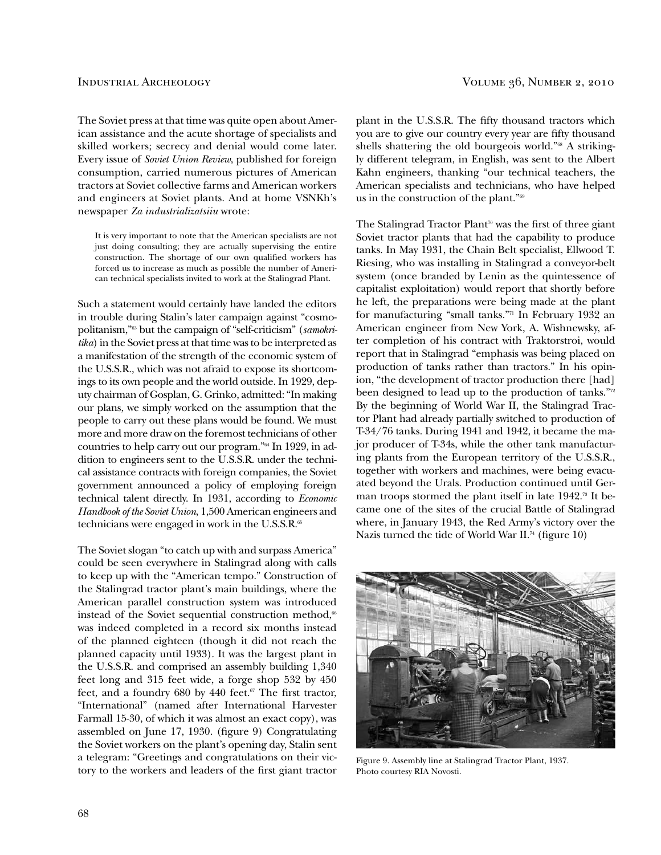The Soviet press at that time was quite open about American assistance and the acute shortage of specialists and skilled workers; secrecy and denial would come later. Every issue of *Soviet Union Review*, published for foreign consumption, carried numerous pictures of American tractors at Soviet collective farms and American workers and engineers at Soviet plants. And at home VSNKh's newspaper *Za industrializatsiiu* wrote:

 It is very important to note that the American specialists are not just doing consulting; they are actually supervising the entire construction. The shortage of our own qualified workers has forced us to increase as much as possible the number of American technical specialists invited to work at the Stalingrad Plant.

Such a statement would certainly have landed the editors in trouble during Stalin's later campaign against "cosmopolitanism,"63 but the campaign of "self-criticism" (*samokritika*) in the Soviet press at that time was to be interpreted as a manifestation of the strength of the economic system of the U.S.S.R., which was not afraid to expose its shortcomings to its own people and the world outside. In 1929, deputy chairman of Gosplan, G. Grinko, admitted: "In making our plans, we simply worked on the assumption that the people to carry out these plans would be found. We must more and more draw on the foremost technicians of other countries to help carry out our program."64 In 1929, in addition to engineers sent to the U.S.S.R. under the technical assistance contracts with foreign companies, the Soviet government announced a policy of employing foreign technical talent directly. In 1931, according to *Economic Handbook of the Soviet Union*, 1,500 American engineers and technicians were engaged in work in the U.S.S.R.<sup>65</sup>

The Soviet slogan "to catch up with and surpass America" could be seen everywhere in Stalingrad along with calls to keep up with the "American tempo." Construction of the Stalingrad tractor plant's main buildings, where the American parallel construction system was introduced instead of the Soviet sequential construction method, $66$ was indeed completed in a record six months instead of the planned eighteen (though it did not reach the planned capacity until 1933). It was the largest plant in the U.S.S.R. and comprised an assembly building 1,340 feet long and 315 feet wide, a forge shop 532 by 450 feet, and a foundry  $680$  by  $440$  feet.<sup>67</sup> The first tractor, "International" (named after International Harvester Farmall 15-30, of which it was almost an exact copy), was assembled on June 17, 1930. (figure 9) Congratulating the Soviet workers on the plant's opening day, Stalin sent a telegram: "Greetings and congratulations on their victory to the workers and leaders of the first giant tractor

plant in the U.S.S.R. The fifty thousand tractors which you are to give our country every year are fifty thousand shells shattering the old bourgeois world."<sup>68</sup> A strikingly different telegram, in English, was sent to the Albert Kahn engineers, thanking "our technical teachers, the American specialists and technicians, who have helped us in the construction of the plant."<sup>69</sup>

The Stalingrad Tractor Plant<sup>70</sup> was the first of three giant Soviet tractor plants that had the capability to produce tanks. In May 1931, the Chain Belt specialist, Ellwood T. Riesing, who was installing in Stalingrad a conveyor-belt system (once branded by Lenin as the quintessence of capitalist exploitation) would report that shortly before he left, the preparations were being made at the plant for manufacturing "small tanks."71 In February 1932 an American engineer from New York, A. Wishnewsky, after completion of his contract with Traktorstroi, would report that in Stalingrad "emphasis was being placed on production of tanks rather than tractors." In his opinion, "the development of tractor production there [had] been designed to lead up to the production of tanks."72 By the beginning of World War II, the Stalingrad Tractor Plant had already partially switched to production of T-34/76 tanks. During 1941 and 1942, it became the major producer of T-34s, while the other tank manufacturing plants from the European territory of the U.S.S.R., together with workers and machines, were being evacuated beyond the Urals. Production continued until German troops stormed the plant itself in late  $1942$ .<sup>73</sup> It became one of the sites of the crucial Battle of Stalingrad where, in January 1943, the Red Army's victory over the Nazis turned the tide of World War II.<sup>74</sup> (figure 10)



Figure 9. Assembly line at Stalingrad Tractor Plant, 1937. Photo courtesy RIA Novosti.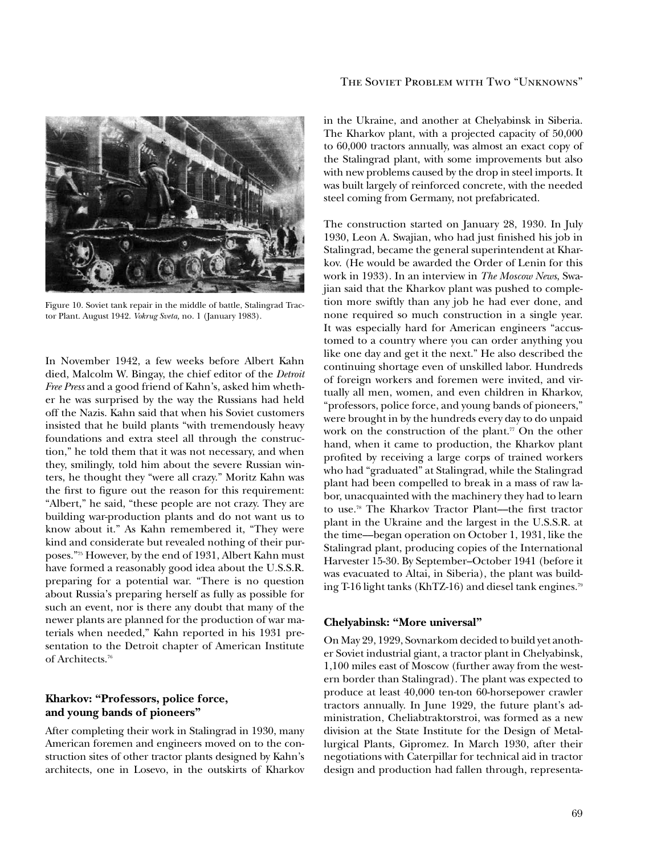

Figure 10. Soviet tank repair in the middle of battle, Stalingrad Tractor Plant. August 1942. *Vokrug Sveta,* no. 1 (January 1983).

In November 1942, a few weeks before Albert Kahn died, Malcolm W. Bingay, the chief editor of the *Detroit Free Press* and a good friend of Kahn's, asked him whether he was surprised by the way the Russians had held off the Nazis. Kahn said that when his Soviet customers insisted that he build plants "with tremendously heavy foundations and extra steel all through the construction," he told them that it was not necessary, and when they, smilingly, told him about the severe Russian winters, he thought they "were all crazy." Moritz Kahn was the first to figure out the reason for this requirement: "Albert," he said, "these people are not crazy. They are building war-production plants and do not want us to know about it." As Kahn remembered it, "They were kind and considerate but revealed nothing of their purposes."75 However, by the end of 1931, Albert Kahn must have formed a reasonably good idea about the U.S.S.R. preparing for a potential war. "There is no question about Russia's preparing herself as fully as possible for such an event, nor is there any doubt that many of the newer plants are planned for the production of war materials when needed," Kahn reported in his 1931 presentation to the Detroit chapter of American Institute of Architects.<sup>76</sup>

# **Kharkov: "Professors, police force, and young bands of pioneers"**

After completing their work in Stalingrad in 1930, many American foremen and engineers moved on to the construction sites of other tractor plants designed by Kahn's architects, one in Losevo, in the outskirts of Kharkov

### The Soviet Problem with Two "Unknowns"

in the Ukraine, and another at Chelyabinsk in Siberia. The Kharkov plant, with a projected capacity of 50,000 to 60,000 tractors annually, was almost an exact copy of the Stalingrad plant, with some improvements but also with new problems caused by the drop in steel imports. It was built largely of reinforced concrete, with the needed steel coming from Germany, not prefabricated.

The construction started on January 28, 1930. In July 1930, Leon A. Swajian, who had just finished his job in Stalingrad, became the general superintendent at Kharkov. (He would be awarded the Order of Lenin for this work in 1933). In an interview in *The Moscow News*, Swajian said that the Kharkov plant was pushed to completion more swiftly than any job he had ever done, and none required so much construction in a single year. It was especially hard for American engineers "accustomed to a country where you can order anything you like one day and get it the next." He also described the continuing shortage even of unskilled labor. Hundreds of foreign workers and foremen were invited, and virtually all men, women, and even children in Kharkov, "professors, police force, and young bands of pioneers," were brought in by the hundreds every day to do unpaid work on the construction of the plant.<sup> $\pi$ </sup> On the other hand, when it came to production, the Kharkov plant profited by receiving a large corps of trained workers who had "graduated" at Stalingrad, while the Stalingrad plant had been compelled to break in a mass of raw labor, unacquainted with the machinery they had to learn to use.<sup>78</sup> The Kharkov Tractor Plant---the first tractor plant in the Ukraine and the largest in the U.S.S.R. at the time––began operation on October 1, 1931, like the Stalingrad plant, producing copies of the International Harvester 15-30. By September–October 1941 (before it was evacuated to Altai, in Siberia), the plant was building T-16 light tanks (KhTZ-16) and diesel tank engines.<sup>79</sup>

### **Chelyabinsk: "More universal"**

On May 29, 1929, Sovnarkom decided to build yet another Soviet industrial giant, a tractor plant in Chelyabinsk, 1,100 miles east of Moscow (further away from the western border than Stalingrad). The plant was expected to produce at least 40,000 ten-ton 60-horsepower crawler tractors annually. In June 1929, the future plant's administration, Cheliabtraktorstroi, was formed as a new division at the State Institute for the Design of Metallurgical Plants, Gipromez. In March 1930, after their negotiations with Caterpillar for technical aid in tractor design and production had fallen through, representa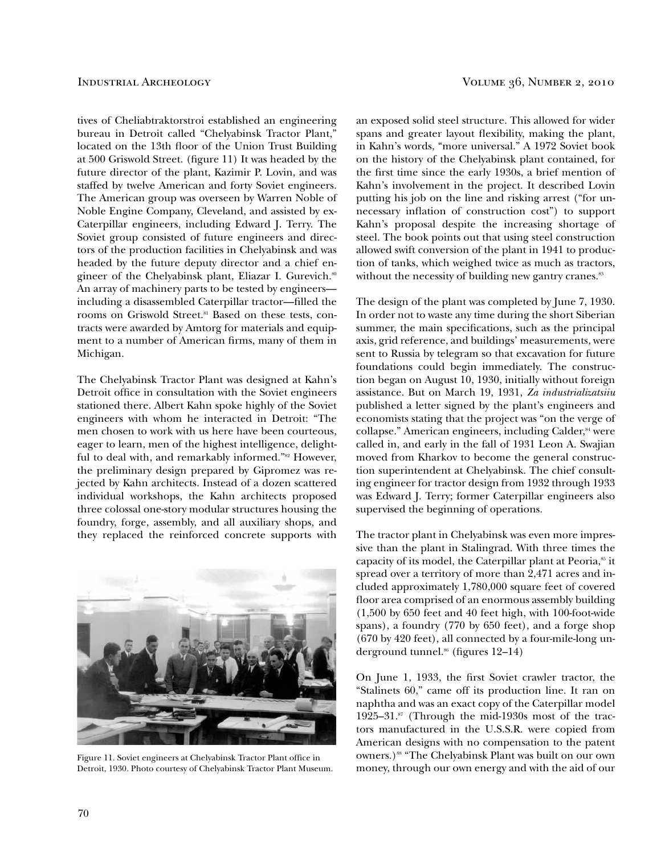tives of Cheliabtraktorstroi established an engineering bureau in Detroit called "Chelyabinsk Tractor Plant," located on the 13th floor of the Union Trust Building at 500 Griswold Street. (figure 11) It was headed by the future director of the plant, Kazimir P. Lovin, and was staffed by twelve American and forty Soviet engineers. The American group was overseen by Warren Noble of Noble Engine Company, Cleveland, and assisted by ex-Caterpillar engineers, including Edward J. Terry. The Soviet group consisted of future engineers and directors of the production facilities in Chelyabinsk and was headed by the future deputy director and a chief engineer of the Chelyabinsk plant, Eliazar I. Gurevich.<sup>80</sup> An array of machinery parts to be tested by engineers including a disassembled Caterpillar tractor-filled the rooms on Griswold Street.<sup>81</sup> Based on these tests, contracts were awarded by Amtorg for materials and equipment to a number of American firms, many of them in Michigan.

The Chelyabinsk Tractor Plant was designed at Kahn's Detroit ofice in consultation with the Soviet engineers stationed there. Albert Kahn spoke highly of the Soviet engineers with whom he interacted in Detroit: "The men chosen to work with us here have been courteous, eager to learn, men of the highest intelligence, delightful to deal with, and remarkably informed."<sup>82</sup> However, the preliminary design prepared by Gipromez was rejected by Kahn architects. Instead of a dozen scattered individual workshops, the Kahn architects proposed three colossal one-story modular structures housing the foundry, forge, assembly, and all auxiliary shops, and they replaced the reinforced concrete supports with



Figure 11. Soviet engineers at Chelyabinsk Tractor Plant office in Detroit, 1930. Photo courtesy of Chelyabinsk Tractor Plant Museum.

an exposed solid steel structure. This allowed for wider spans and greater layout flexibility, making the plant, in Kahn's words, "more universal." A 1972 Soviet book on the history of the Chelyabinsk plant contained, for the first time since the early 1930s, a brief mention of Kahn's involvement in the project. It described Lovin putting his job on the line and risking arrest ("for unnecessary inlation of construction cost") to support Kahn's proposal despite the increasing shortage of steel. The book points out that using steel construction allowed swift conversion of the plant in 1941 to production of tanks, which weighed twice as much as tractors, without the necessity of building new gantry cranes.<sup>83</sup>

The design of the plant was completed by June 7, 1930. In order not to waste any time during the short Siberian summer, the main specifications, such as the principal axis, grid reference, and buildings' measurements, were sent to Russia by telegram so that excavation for future foundations could begin immediately. The construction began on August 10, 1930, initially without foreign assistance. But on March 19, 1931, *Za industrializatsiiu* published a letter signed by the plant's engineers and economists stating that the project was "on the verge of collapse." American engineers, including Calder,<sup>84</sup> were called in, and early in the fall of 1931 Leon A. Swajian moved from Kharkov to become the general construction superintendent at Chelyabinsk. The chief consulting engineer for tractor design from 1932 through 1933 was Edward J. Terry; former Caterpillar engineers also supervised the beginning of operations.

The tractor plant in Chelyabinsk was even more impressive than the plant in Stalingrad. With three times the capacity of its model, the Caterpillar plant at Peoria,<sup>85</sup> it spread over a territory of more than 2,471 acres and included approximately 1,780,000 square feet of covered floor area comprised of an enormous assembly building (1,500 by 650 feet and 40 feet high, with 100-foot-wide spans), a foundry (770 by 650 feet), and a forge shop (670 by 420 feet), all connected by a four-mile-long underground tunnel. $66$  (figures 12–14)

On June 1, 1933, the irst Soviet crawler tractor, the "Stalinets 60," came off its production line. It ran on naphtha and was an exact copy of the Caterpillar model 1925–31.87 (Through the mid-1930s most of the tractors manufactured in the U.S.S.R. were copied from American designs with no compensation to the patent owners.)<sup>88</sup> "The Chelyabinsk Plant was built on our own money, through our own energy and with the aid of our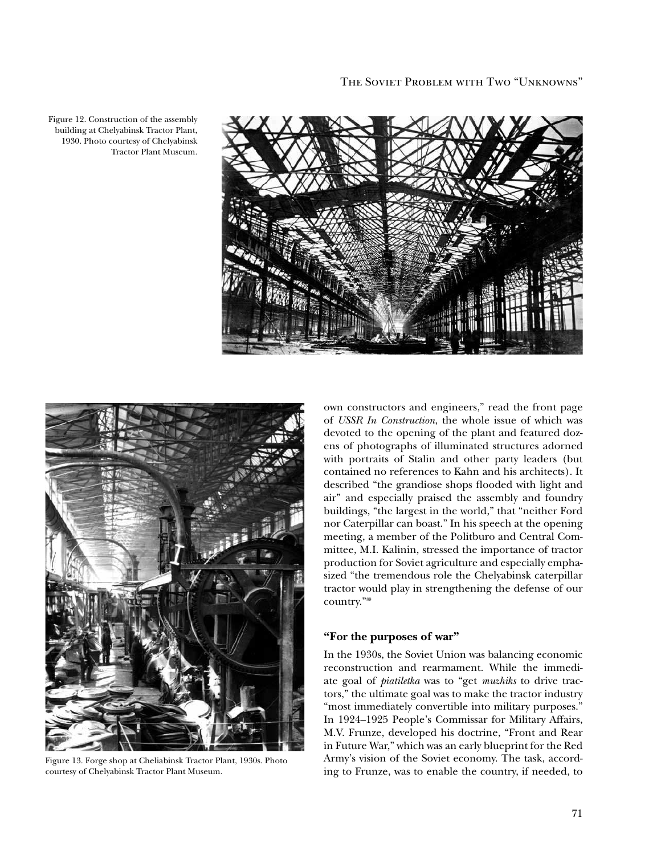

Figure 12. Construction of the assembly building at Chelyabinsk Tractor Plant, 1930. Photo courtesy of Chelyabinsk Tractor Plant Museum.



Figure 13. Forge shop at Cheliabinsk Tractor Plant, 1930s. Photo courtesy of Chelyabinsk Tractor Plant Museum.

own constructors and engineers," read the front page of *USSR In Construction*, the whole issue of which was devoted to the opening of the plant and featured dozens of photographs of illuminated structures adorned with portraits of Stalin and other party leaders (but contained no references to Kahn and his architects). It described "the grandiose shops looded with light and air" and especially praised the assembly and foundry buildings, "the largest in the world," that "neither Ford nor Caterpillar can boast." In his speech at the opening meeting, a member of the Politburo and Central Committee, M.I. Kalinin, stressed the importance of tractor production for Soviet agriculture and especially emphasized "the tremendous role the Chelyabinsk caterpillar tractor would play in strengthening the defense of our country."<sup>89</sup>

### **"For the purposes of war"**

In the 1930s, the Soviet Union was balancing economic reconstruction and rearmament. While the immediate goal of *piatiletka* was to "get *muzhiks* to drive tractors," the ultimate goal was to make the tractor industry "most immediately convertible into military purposes." In 1924–1925 People's Commissar for Military Affairs, M.V. Frunze, developed his doctrine, "Front and Rear in Future War," which was an early blueprint for the Red Army's vision of the Soviet economy. The task, according to Frunze, was to enable the country, if needed, to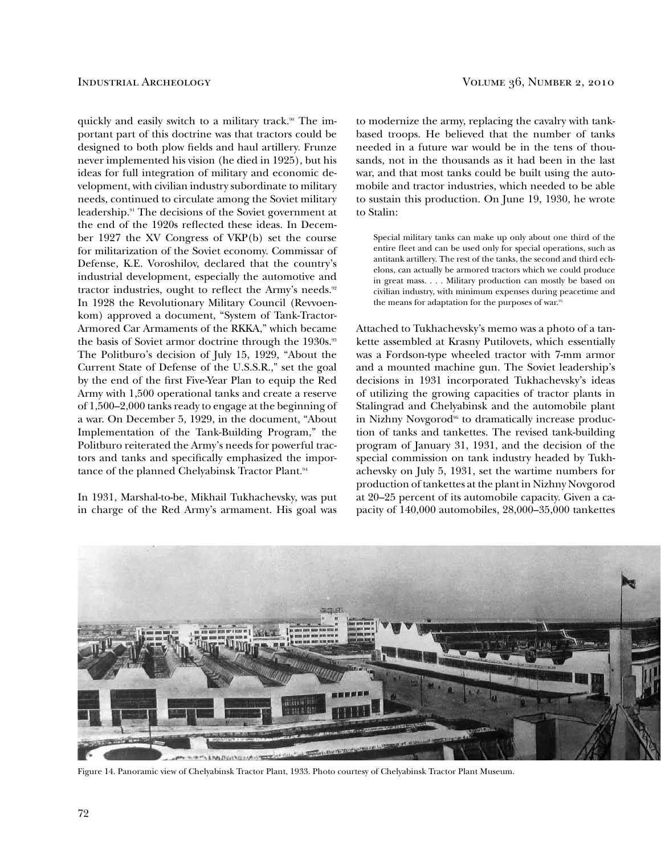quickly and easily switch to a military track.<sup>90</sup> The important part of this doctrine was that tractors could be designed to both plow fields and haul artillery. Frunze never implemented his vision (he died in 1925), but his ideas for full integration of military and economic development, with civilian industry subordinate to military needs, continued to circulate among the Soviet military leadership.91 The decisions of the Soviet government at the end of the 1920s relected these ideas. In December 1927 the XV Congress of VKP(b) set the course for militarization of the Soviet economy. Commissar of Defense, K.E. Voroshilov, declared that the country's industrial development, especially the automotive and tractor industries, ought to reflect the Army's needs.<sup>92</sup> In 1928 the Revolutionary Military Council (Revvoenkom) approved a document, "System of Tank-Tractor-Armored Car Armaments of the RKKA," which became the basis of Soviet armor doctrine through the 1930s.<sup>93</sup> The Politburo's decision of July 15, 1929, "About the Current State of Defense of the U.S.S.R.," set the goal by the end of the first Five-Year Plan to equip the Red Army with 1,500 operational tanks and create a reserve of 1,500–2,000 tanks ready to engage at the beginning of a war. On December 5, 1929, in the document, "About Implementation of the Tank-Building Program," the Politburo reiterated the Army's needs for powerful tractors and tanks and specifically emphasized the importance of the planned Chelyabinsk Tractor Plant.<sup>94</sup>

In 1931, Marshal-to-be, Mikhail Tukhachevsky, was put in charge of the Red Army's armament. His goal was

to modernize the army, replacing the cavalry with tankbased troops. He believed that the number of tanks needed in a future war would be in the tens of thousands, not in the thousands as it had been in the last war, and that most tanks could be built using the automobile and tractor industries, which needed to be able to sustain this production. On June 19, 1930, he wrote to Stalin:

 Special military tanks can make up only about one third of the entire leet and can be used only for special operations, such as antitank artillery. The rest of the tanks, the second and third echelons, can actually be armored tractors which we could produce in great mass. . . . Military production can mostly be based on civilian industry, with minimum expenses during peacetime and the means for adaptation for the purposes of war.<sup>95</sup>

Attached to Tukhachevsky's memo was a photo of a tankette assembled at Krasny Putilovets, which essentially was a Fordson-type wheeled tractor with 7-mm armor and a mounted machine gun. The Soviet leadership's decisions in 1931 incorporated Tukhachevsky's ideas of utilizing the growing capacities of tractor plants in Stalingrad and Chelyabinsk and the automobile plant in Nizhny Novgorod<sup>96</sup> to dramatically increase production of tanks and tankettes. The revised tank-building program of January 31, 1931, and the decision of the special commission on tank industry headed by Tukhachevsky on July 5, 1931, set the wartime numbers for production of tankettes at the plant in Nizhny Novgorod at 20–25 percent of its automobile capacity. Given a capacity of 140,000 automobiles, 28,000–35,000 tankettes



Figure 14. Panoramic view of Chelyabinsk Tractor Plant, 1933. Photo courtesy of Chelyabinsk Tractor Plant Museum.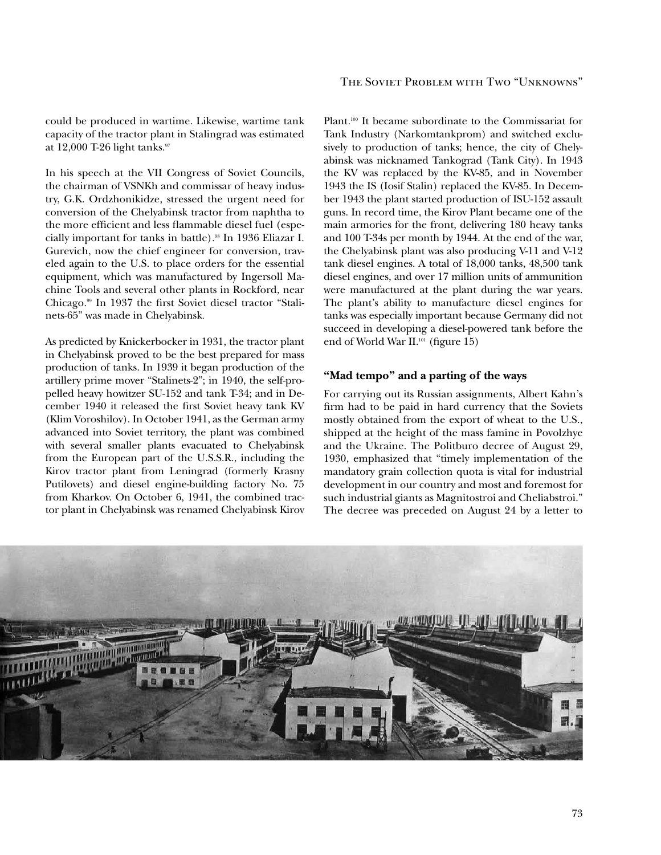could be produced in wartime. Likewise, wartime tank capacity of the tractor plant in Stalingrad was estimated at 12,000 T-26 light tanks.<sup>97</sup>

In his speech at the VII Congress of Soviet Councils, the chairman of VSNKh and commissar of heavy industry, G.K. Ordzhonikidze, stressed the urgent need for conversion of the Chelyabinsk tractor from naphtha to the more efficient and less flammable diesel fuel (especially important for tanks in battle).98 In 1936 Eliazar I. Gurevich, now the chief engineer for conversion, traveled again to the U.S. to place orders for the essential equipment, which was manufactured by Ingersoll Machine Tools and several other plants in Rockford, near Chicago.<sup>99</sup> In 1937 the first Soviet diesel tractor "Stalinets-65" was made in Chelyabinsk.

As predicted by Knickerbocker in 1931, the tractor plant in Chelyabinsk proved to be the best prepared for mass production of tanks. In 1939 it began production of the artillery prime mover "Stalinets-2"; in 1940, the self-propelled heavy howitzer SU-152 and tank T-34; and in December 1940 it released the first Soviet heavy tank KV (Klim Voroshilov). In October 1941, as the German army advanced into Soviet territory, the plant was combined with several smaller plants evacuated to Chelyabinsk from the European part of the U.S.S.R., including the Kirov tractor plant from Leningrad (formerly Krasny Putilovets) and diesel engine-building factory No. 75 from Kharkov. On October 6, 1941, the combined tractor plant in Chelyabinsk was renamed Chelyabinsk Kirov

### The Soviet Problem with Two "Unknowns"

Plant.<sup>100</sup> It became subordinate to the Commissariat for Tank Industry (Narkomtankprom) and switched exclusively to production of tanks; hence, the city of Chelyabinsk was nicknamed Tankograd (Tank City). In 1943 the KV was replaced by the KV-85, and in November 1943 the IS (Iosif Stalin) replaced the KV-85. In December 1943 the plant started production of ISU-152 assault guns. In record time, the Kirov Plant became one of the main armories for the front, delivering 180 heavy tanks and 100 T-34s per month by 1944. At the end of the war, the Chelyabinsk plant was also producing V-11 and V-12 tank diesel engines. A total of 18,000 tanks, 48,500 tank diesel engines, and over 17 million units of ammunition were manufactured at the plant during the war years. The plant's ability to manufacture diesel engines for tanks was especially important because Germany did not succeed in developing a diesel-powered tank before the end of World War II.<sup>101</sup> (figure 15)

### **"Mad tempo" and a parting of the ways**

For carrying out its Russian assignments, Albert Kahn's firm had to be paid in hard currency that the Soviets mostly obtained from the export of wheat to the U.S., shipped at the height of the mass famine in Povolzhye and the Ukraine. The Politburo decree of August 29, 1930, emphasized that "timely implementation of the mandatory grain collection quota is vital for industrial development in our country and most and foremost for such industrial giants as Magnitostroi and Cheliabstroi." The decree was preceded on August 24 by a letter to

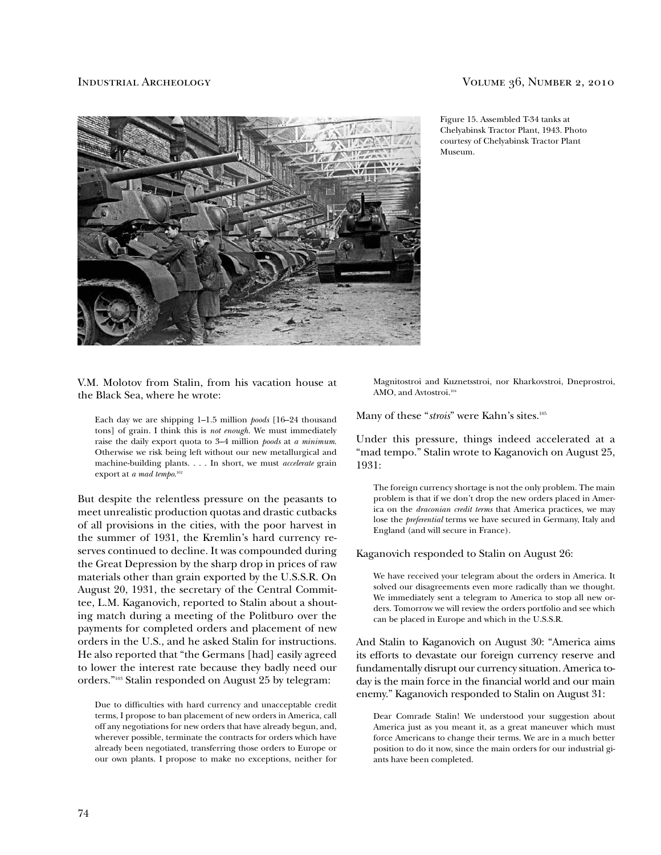

### Industrial Archeology Volume 36, Number 2, 2010

Figure 15. Assembled T-34 tanks at Chelyabinsk Tractor Plant, 1943. Photo courtesy of Chelyabinsk Tractor Plant Museum.

V.M. Molotov from Stalin, from his vacation house at the Black Sea, where he wrote:

 Each day we are shipping 1–1.5 million *poods* [16–24 thousand tons] of grain. I think this is *not enough.* We must immediately raise the daily export quota to 3–4 million *poods* at *a minimum*. Otherwise we risk being left without our new metallurgical and machine-building plants. . . . In short, we must *accelerate* grain export at *a mad tempo*.<sup>102</sup>

But despite the relentless pressure on the peasants to meet unrealistic production quotas and drastic cutbacks of all provisions in the cities, with the poor harvest in the summer of 1931, the Kremlin's hard currency reserves continued to decline. It was compounded during the Great Depression by the sharp drop in prices of raw materials other than grain exported by the U.S.S.R. On August 20, 1931, the secretary of the Central Committee, L.M. Kaganovich, reported to Stalin about a shouting match during a meeting of the Politburo over the payments for completed orders and placement of new orders in the U.S., and he asked Stalin for instructions. He also reported that "the Germans [had] easily agreed to lower the interest rate because they badly need our orders."103 Stalin responded on August 25 by telegram:

 Due to dificulties with hard currency and unacceptable credit terms, I propose to ban placement of new orders in America, call off any negotiations for new orders that have already begun, and, wherever possible, terminate the contracts for orders which have already been negotiated, transferring those orders to Europe or our own plants. I propose to make no exceptions, neither for

Magnitostroi and Kuznetsstroi, nor Kharkovstroi, Dneprostroi, AMO, and Avtostroi.<sup>104</sup>

Many of these "*strois*" were Kahn's sites.<sup>105</sup>

Under this pressure, things indeed accelerated at a "mad tempo." Stalin wrote to Kaganovich on August 25, 1931:

 The foreign currency shortage is not the only problem. The main problem is that if we don't drop the new orders placed in America on the *draconian credit terms* that America practices, we may lose the *preferential* terms we have secured in Germany, Italy and England (and will secure in France).

Kaganovich responded to Stalin on August 26:

 We have received your telegram about the orders in America. It solved our disagreements even more radically than we thought. We immediately sent a telegram to America to stop all new orders. Tomorrow we will review the orders portfolio and see which can be placed in Europe and which in the U.S.S.R.

And Stalin to Kaganovich on August 30: "America aims its efforts to devastate our foreign currency reserve and fundamentally disrupt our currency situation. America today is the main force in the financial world and our main enemy." Kaganovich responded to Stalin on August 31:

 Dear Comrade Stalin! We understood your suggestion about America just as you meant it, as a great maneuver which must force Americans to change their terms. We are in a much better position to do it now, since the main orders for our industrial giants have been completed.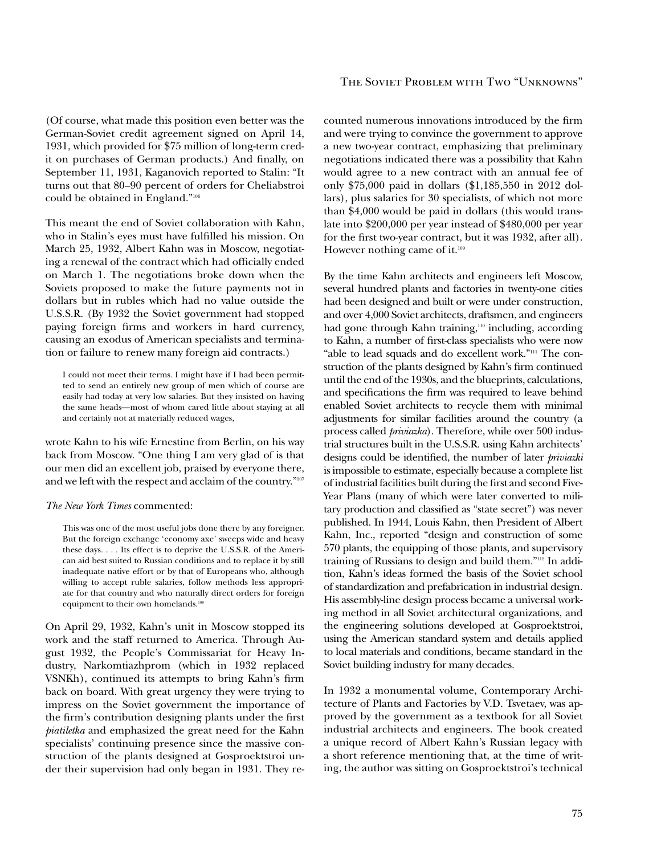(Of course, what made this position even better was the German-Soviet credit agreement signed on April 14, 1931, which provided for \$75 million of long-term credit on purchases of German products.) And finally, on September 11, 1931, Kaganovich reported to Stalin: "It turns out that 80–90 percent of orders for Cheliabstroi could be obtained in England."<sup>106</sup>

This meant the end of Soviet collaboration with Kahn, who in Stalin's eyes must have fulilled his mission. On March 25, 1932, Albert Kahn was in Moscow, negotiating a renewal of the contract which had oficially ended on March 1. The negotiations broke down when the Soviets proposed to make the future payments not in dollars but in rubles which had no value outside the U.S.S.R. (By 1932 the Soviet government had stopped paying foreign firms and workers in hard currency, causing an exodus of American specialists and termination or failure to renew many foreign aid contracts.)

 I could not meet their terms. I might have if I had been permitted to send an entirely new group of men which of course are easily had today at very low salaries. But they insisted on having the same heads—most of whom cared little about staying at all and certainly not at materially reduced wages,

wrote Kahn to his wife Ernestine from Berlin, on his way back from Moscow. "One thing I am very glad of is that our men did an excellent job, praised by everyone there, and we left with the respect and acclaim of the country."<sup>107</sup>

### *The New York Times* commented:

 This was one of the most useful jobs done there by any foreigner. But the foreign exchange 'economy axe' sweeps wide and heavy these days. . . . Its effect is to deprive the U.S.S.R. of the American aid best suited to Russian conditions and to replace it by still inadequate native effort or by that of Europeans who, although willing to accept ruble salaries, follow methods less appropriate for that country and who naturally direct orders for foreign equipment to their own homelands.<sup>108</sup>

On April 29, 1932, Kahn's unit in Moscow stopped its work and the staff returned to America. Through August 1932, the People's Commissariat for Heavy Industry, Narkomtiazhprom (which in 1932 replaced VSNKh), continued its attempts to bring Kahn's firm back on board. With great urgency they were trying to impress on the Soviet government the importance of the firm's contribution designing plants under the first *piatiletka* and emphasized the great need for the Kahn specialists' continuing presence since the massive construction of the plants designed at Gosproektstroi under their supervision had only began in 1931. They re-

### The Soviet Problem with Two "Unknowns"

counted numerous innovations introduced by the firm and were trying to convince the government to approve a new two-year contract, emphasizing that preliminary negotiations indicated there was a possibility that Kahn would agree to a new contract with an annual fee of only \$75,000 paid in dollars (\$1,185,550 in 2012 dollars), plus salaries for 30 specialists, of which not more than \$4,000 would be paid in dollars (this would translate into \$200,000 per year instead of \$480,000 per year for the first two-year contract, but it was 1932, after all). However nothing came of it.<sup>109</sup>

By the time Kahn architects and engineers left Moscow, several hundred plants and factories in twenty-one cities had been designed and built or were under construction, and over 4,000 Soviet architects, draftsmen, and engineers had gone through Kahn training,<sup>110</sup> including, according to Kahn, a number of irst-class specialists who were now "able to lead squads and do excellent work."111 The construction of the plants designed by Kahn's firm continued until the end of the 1930s, and the blueprints, calculations, and specifications the firm was required to leave behind enabled Soviet architects to recycle them with minimal adjustments for similar facilities around the country (a process called *priviazka*). Therefore, while over 500 industrial structures built in the U.S.S.R. using Kahn architects' designs could be identiied, the number of later *priviazki* is impossible to estimate, especially because a complete list of industrial facilities built during the first and second Five-Year Plans (many of which were later converted to military production and classified as "state secret") was never published. In 1944, Louis Kahn, then President of Albert Kahn, Inc., reported "design and construction of some 570 plants, the equipping of those plants, and supervisory training of Russians to design and build them."112 In addition, Kahn's ideas formed the basis of the Soviet school of standardization and prefabrication in industrial design. His assembly-line design process became a universal working method in all Soviet architectural organizations, and the engineering solutions developed at Gosproektstroi, using the American standard system and details applied to local materials and conditions, became standard in the Soviet building industry for many decades.

In 1932 a monumental volume, Contemporary Architecture of Plants and Factories by V.D. Tsvetaev, was approved by the government as a textbook for all Soviet industrial architects and engineers. The book created a unique record of Albert Kahn's Russian legacy with a short reference mentioning that, at the time of writing, the author was sitting on Gosproektstroi's technical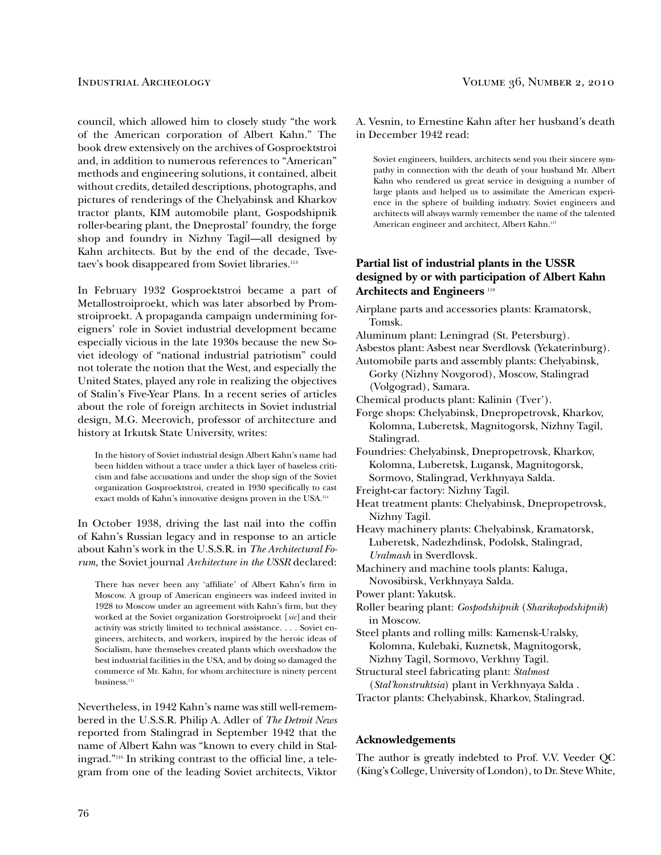council, which allowed him to closely study "the work of the American corporation of Albert Kahn." The book drew extensively on the archives of Gosproektstroi and, in addition to numerous references to "American" methods and engineering solutions, it contained, albeit without credits, detailed descriptions, photographs, and pictures of renderings of the Chelyabinsk and Kharkov tractor plants, KIM automobile plant, Gospodshipnik roller-bearing plant, the Dneprostal' foundry, the forge shop and foundry in Nizhny Tagil—all designed by Kahn architects. But by the end of the decade, Tsvetaev's book disappeared from Soviet libraries.<sup>113</sup>

In February 1932 Gosproektstroi became a part of Metallostroiproekt, which was later absorbed by Promstroiproekt. A propaganda campaign undermining foreigners' role in Soviet industrial development became especially vicious in the late 1930s because the new Soviet ideology of "national industrial patriotism" could not tolerate the notion that the West, and especially the United States, played any role in realizing the objectives of Stalin's Five-Year Plans. In a recent series of articles about the role of foreign architects in Soviet industrial design, M.G. Meerovich, professor of architecture and history at Irkutsk State University, writes:

 In the history of Soviet industrial design Albert Kahn's name had been hidden without a trace under a thick layer of baseless criticism and false accusations and under the shop sign of the Soviet organization Gosproektstroi, created in 1930 specifically to cast exact molds of Kahn's innovative designs proven in the USA.<sup>114</sup>

In October 1938, driving the last nail into the cofin of Kahn's Russian legacy and in response to an article about Kahn's work in the U.S.S.R. in *The Architectural Forum,* the Soviet journal *Architecture in the USSR* declared:

There has never been any 'affiliate' of Albert Kahn's firm in Moscow. A group of American engineers was indeed invited in 1928 to Moscow under an agreement with Kahn's firm, but they worked at the Soviet organization Gorstroiproekt [*sic*] and their activity was strictly limited to technical assistance. . . . Soviet engineers, architects, and workers, inspired by the heroic ideas of Socialism, have themselves created plants which overshadow the best industrial facilities in the USA, and by doing so damaged the commerce of Mr. Kahn, for whom architecture is ninety percent business.<sup>115</sup>

Nevertheless, in 1942 Kahn's name was still well-remembered in the U.S.S.R. Philip A. Adler of *The Detroit News* reported from Stalingrad in September 1942 that the name of Albert Kahn was "known to every child in Stalingrad."116 In striking contrast to the oficial line, a telegram from one of the leading Soviet architects, Viktor

A. Vesnin, to Ernestine Kahn after her husband's death in December 1942 read:

 Soviet engineers, builders, architects send you their sincere sympathy in connection with the death of your husband Mr. Albert Kahn who rendered us great service in designing a number of large plants and helped us to assimilate the American experience in the sphere of building industry. Soviet engineers and architects will always warmly remember the name of the talented American engineer and architect, Albert Kahn.<sup>117</sup>

### **Partial list of industrial plants in the USSR designed by or with participation of Albert Kahn Architects and Engineers** <sup>118</sup>

Airplane parts and accessories plants: Kramatorsk, Tomsk.

Aluminum plant: Leningrad (St. Petersburg).

Asbestos plant: Asbest near Sverdlovsk (Yekaterinburg).

Automobile parts and assembly plants: Chelyabinsk, Gorky (Nizhny Novgorod), Moscow, Stalingrad (Volgograd), Samara.

Chemical products plant: Kalinin (Tver').

Forge shops: Chelyabinsk, Dnepropetrovsk, Kharkov, Kolomna, Luberetsk, Magnitogorsk, Nizhny Tagil, Stalingrad.

Foundries: Chelyabinsk, Dnepropetrovsk, Kharkov, Kolomna, Luberetsk, Lugansk, Magnitogorsk, Sormovo, Stalingrad, Verkhnyaya Salda.

Freight-car factory: Nizhny Tagil.

Heat treatment plants: Chelyabinsk, Dnepropetrovsk, Nizhny Tagil.

Heavy machinery plants: Chelyabinsk, Kramatorsk, Luberetsk, Nadezhdinsk, Podolsk, Stalingrad, *Uralmash* in Sverdlovsk.

Machinery and machine tools plants: Kaluga, Novosibirsk, Verkhnyaya Salda.

Power plant: Yakutsk.

Roller bearing plant: *Gospodshipnik* (*Sharikopodshipnik*) in Moscow.

Steel plants and rolling mills: Kamensk-Uralsky, Kolomna, Kulebaki, Kuznetsk, Magnitogorsk, Nizhny Tagil, Sormovo, Verkhny Tagil.

Structural steel fabricating plant: *Stalmost*  (*Stal'konstruktsia*) plant in Verkhnyaya Salda .

Tractor plants: Chelyabinsk, Kharkov, Stalingrad.

### **Acknowledgements**

The author is greatly indebted to Prof. V.V. Veeder QC (King's College, University of London), to Dr. Steve White,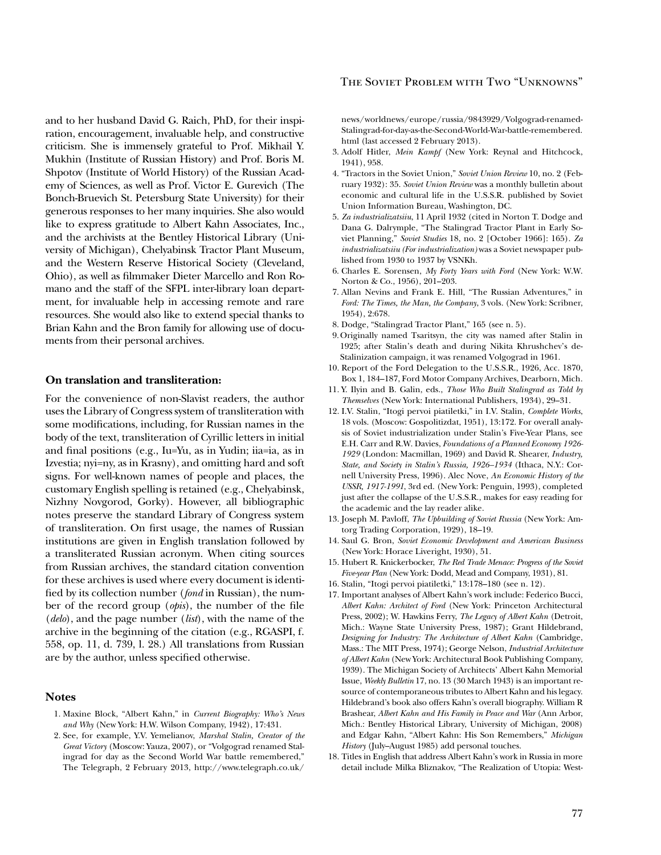and to her husband David G. Raich, PhD, for their inspiration, encouragement, invaluable help, and constructive criticism. She is immensely grateful to Prof. Mikhail Y. Mukhin (Institute of Russian History) and Prof. Boris M. Shpotov (Institute of World History) of the Russian Academy of Sciences, as well as Prof. Victor E. Gurevich (The Bonch-Bruevich St. Petersburg State University) for their generous responses to her many inquiries. She also would like to express gratitude to Albert Kahn Associates, Inc., and the archivists at the Bentley Historical Library (University of Michigan), Chelyabinsk Tractor Plant Museum, and the Western Reserve Historical Society (Cleveland, Ohio), as well as ilmmaker Dieter Marcello and Ron Romano and the staff of the SFPL inter-library loan department, for invaluable help in accessing remote and rare resources. She would also like to extend special thanks to Brian Kahn and the Bron family for allowing use of documents from their personal archives.

### **On translation and transliteration:**

For the convenience of non-Slavist readers, the author uses the Library of Congress system of transliteration with some modifications, including, for Russian names in the body of the text, transliteration of Cyrillic letters in initial and final positions (e.g., Iu=Yu, as in Yudin; iia=ia, as in Izvestia; nyi=ny, as in Krasny), and omitting hard and soft signs. For well-known names of people and places, the customary English spelling is retained (e.g., Chelyabinsk, Nizhny Novgorod, Gorky). However, all bibliographic notes preserve the standard Library of Congress system of transliteration. On first usage, the names of Russian institutions are given in English translation followed by a transliterated Russian acronym. When citing sources from Russian archives, the standard citation convention for these archives is used where every document is identified by its collection number (*fond* in Russian), the number of the record group (*opis*), the number of the ile (*delo*), and the page number (*list*), with the name of the archive in the beginning of the citation (e.g., RGASPI, f. 558, op. 11, d. 739, l. 28.) All translations from Russian are by the author, unless specified otherwise.

### **Notes**

- 1. Maxine Block, "Albert Kahn," in *Current Biography: Who's News and Why* (New York: H.W. Wilson Company, 1942), 17:431.
- 2. See, for example, Y.V. Yemelianov, *Marshal Stalin, Creator of the Great Victory* (Moscow: Yauza, 2007), or "Volgograd renamed Stalingrad for day as the Second World War battle remembered," The Telegraph, 2 February 2013, http://www.telegraph.co.uk/

### The Soviet Problem with Two "Unknowns"

news/worldnews/europe/russia/9843929/Volgograd-renamed-Stalingrad-for-day-as-the-Second-World-War-battle-remembered. html (last accessed 2 February 2013).

- 3. Adolf Hitler, *Mein Kampf* (New York: Reynal and Hitchcock, 1941), 958.
- 4. "Tractors in the Soviet Union," *Soviet Union Review* 10, no. 2 (February 1932): 35. *Soviet Union Review* was a monthly bulletin about economic and cultural life in the U.S.S.R. published by Soviet Union Information Bureau, Washington, DC.
- 5. *Za industrializatsiiu*, 11 April 1932 (cited in Norton T. Dodge and Dana G. Dalrymple, "The Stalingrad Tractor Plant in Early Soviet Planning," *Soviet Studies* 18, no. 2 [October 1966]: 165). *Za industrializatsiiu (For industrialization)* was a Soviet newspaper published from 1930 to 1937 by VSNKh.
- 6. Charles E. Sorensen, *My Forty Years with Ford* (New York: W.W. Norton & Co., 1956), 201–203.
- 7. Allan Nevins and Frank E. Hill, "The Russian Adventures," in *Ford: The Times, the Man, the Company*, 3 vols. (New York: Scribner, 1954), 2:678.
- 8. Dodge, "Stalingrad Tractor Plant," 165 (see n. 5).
- 9. Originally named Tsaritsyn, the city was named after Stalin in 1925; after Stalin's death and during Nikita Khrushchev's de-Stalinization campaign, it was renamed Volgograd in 1961.
- 10. Report of the Ford Delegation to the U.S.S.R., 1926, Acc. 1870, Box 1, 184–187, Ford Motor Company Archives, Dearborn, Mich.
- 11. Y. Ilyin and B. Galin, eds., *Those Who Built Stalingrad as Told by Themselves* (New York: International Publishers, 1934), 29–31.
- 12. I.V. Stalin, "Itogi pervoi piatiletki," in I.V. Stalin, *Complete Works*, 18 vols. (Moscow: Gospolitizdat, 1951), 13:172. For overall analysis of Soviet industrialization under Stalin's Five-Year Plans, see E.H. Carr and R.W. Davies, *Foundations of a Planned Economy 1926- 1929* (London: Macmillan, 1969) and David R. Shearer, *Industry, State, and Society in Stalin's Russia, 1926–1934* (Ithaca, N.Y.: Cornell University Press, 1996). Alec Nove, *An Economic History of the USSR, 1917-1991*, 3rd ed. (New York: Penguin, 1993), completed just after the collapse of the U.S.S.R., makes for easy reading for the academic and the lay reader alike.
- 13. Joseph M. Pavloff, *The Upbuilding of Soviet Russia* (New York: Amtorg Trading Corporation, 1929), 18–19.
- 14. Saul G. Bron, *Soviet Economic Development and American Business* (New York: Horace Liveright, 1930), 51.
- 15. Hubert R. Knickerbocker, *The Red Trade Menace: Progress of the Soviet Five-year Plan* (New York: Dodd, Mead and Company, 1931), 81.
- 16. Stalin*,* "Itogi pervoi piatiletki," 13:178–180 (see n. 12).
- 17. Important analyses of Albert Kahn's work include: Federico Bucci, *Albert Kahn: Architect of Ford* (New York: Princeton Architectural Press, 2002); W. Hawkins Ferry, *The Legacy of Albert Kahn* (Detroit, Mich.: Wayne State University Press, 1987); Grant Hildebrand, *Designing for Industry: The Architecture of Albert Kahn* (Cambridge, Mass.: The MIT Press, 1974); George Nelson, *Industrial Architecture of Albert Kahn* (New York: Architectural Book Publishing Company, 1939). The Michigan Society of Architects' Albert Kahn Memorial Issue, *Weekly Bulletin* 17, no. 13 (30 March 1943) is an important resource of contemporaneous tributes to Albert Kahn and his legacy. Hildebrand's book also offers Kahn's overall biography. William R Brashear, *Albert Kahn and His Family in Peace and War* (Ann Arbor, Mich.: Bentley Historical Library, University of Michigan, 2008) and Edgar Kahn, "Albert Kahn: His Son Remembers," *Michigan History* (July–August 1985) add personal touches.
- 18. Titles in English that address Albert Kahn's work in Russia in more detail include Milka Bliznakov, "The Realization of Utopia: West-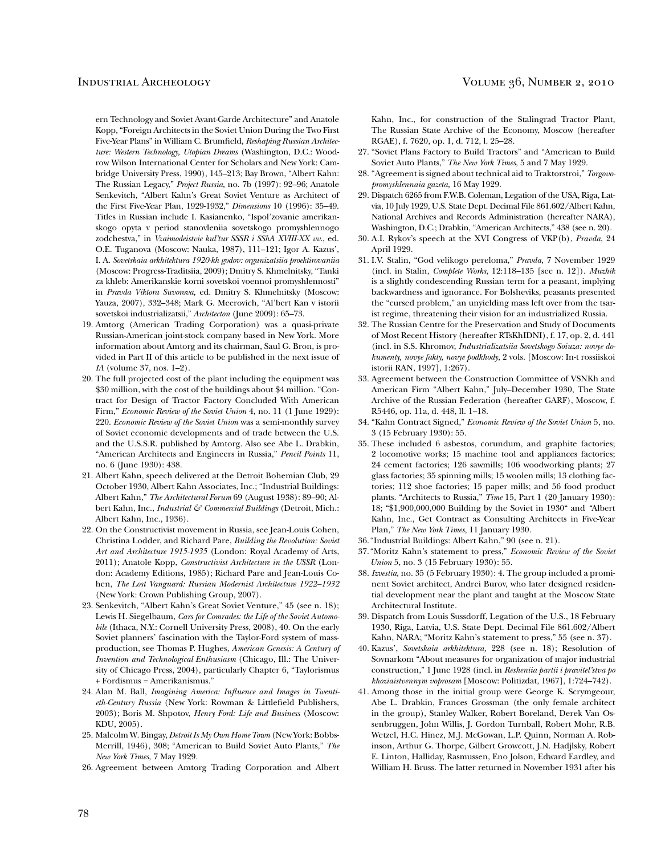ern Technology and Soviet Avant-Garde Architecture" and Anatole Kopp, "Foreign Architects in the Soviet Union During the Two First Five-Year Plans" in William C. Brumield, *Reshaping Russian Architecture: Western Technology, Utopian Dreams* (Washington, D.C.: Woodrow Wilson International Center for Scholars and New York: Cambridge University Press, 1990), 145–213; Bay Brown, "Albert Kahn: The Russian Legacy," *Project Russia,* no. 7b (1997): 92–96; Anatole Senkevitch, "Albert Kahn's Great Soviet Venture as Architect of the First Five-Year Plan, 1929-1932," *Dimensions* 10 (1996): 35–49. Titles in Russian include I. Kasianenko, "Ispol'zovanie amerikanskogo opyta v period stanovleniia sovetskogo promyshlennogo zodchestva," in *Vzaimodeistvie kul'tur SSSR i SShA XVIII-XX vv*., ed. O.E. Tuganova (Moscow: Nauka, 1987), 111–121; Igor A. Kazus', I. A. *Sovetskaia arkhitektura 1920-kh godov: organizatsiia proektirovaniia* (Moscow: Progress-Traditsiia, 2009); Dmitry S. Khmelnitsky, "Tanki za khleb: Amerikanskie korni sovetskoi voennoi promyshlennosti" in *Pravda Viktora Suvorova,* ed. Dmitry S. Khmelnitsky (Moscow: Yauza, 2007), 332–348; Mark G. Meerovich, "Al'bert Kan v istorii sovetskoi industrializatsii," *Architecton* (June 2009): 65–73.

- 19. Amtorg (American Trading Corporation) was a quasi-private Russian**-**American joint-stock company based in New York. More information about Amtorg and its chairman, Saul G. Bron, is provided in Part II of this article to be published in the next issue of *IA* (volume 37, nos. 1–2).
- 20. The full projected cost of the plant including the equipment was \$30 million, with the cost of the buildings about \$4 million. "Contract for Design of Tractor Factory Concluded With American Firm," *Economic Review of the Soviet Union* 4, no. 11 (1 June 1929): 220. *Economic Review of the Soviet Union* was a semi-monthly survey of Soviet economic developments and of trade between the U.S. and the U.S.S.R. published by Amtorg. Also see Abe L. Drabkin, "American Architects and Engineers in Russia," *Pencil Points* 11, no. 6 (June 1930): 438.
- 21. Albert Kahn, speech delivered at the Detroit Bohemian Club, 29 October 1930, Albert Kahn Associates, Inc.; "Industrial Buildings: Albert Kahn," *The Architectural Forum* 69 (August 1938): 89–90; Albert Kahn, Inc., *Industrial & Commercial Buildings* (Detroit, Mich.: Albert Kahn, Inc., 1936).
- 22. On the Constructivist movement in Russia, see Jean-Louis Cohen, Christina Lodder, and Richard Pare, *Building the Revolution: Soviet Art and Architecture 1915-1935* (London: Royal Academy of Arts, 2011); Anatole Kopp, *Constructivist Architecture in the USSR* (London: Academy Editions, 1985); Richard Pare and Jean-Louis Cohen, *The Lost Vanguard: Russian Modernist Architecture 1922–1932* (New York: Crown Publishing Group, 2007).
- 23. Senkevitch, "Albert Kahn's Great Soviet Venture," 45 (see n. 18); Lewis H. Siegelbaum, *Cars for Comrades: the Life of the Soviet Automobile* (Ithaca, N.Y.: Cornell University Press, 2008), 40. On the early Soviet planners' fascination with the Taylor-Ford system of massproduction, see Thomas P. Hughes, *American Genesis: A Century of Invention and Technological Enthusiasm* (Chicago, Ill.: The University of Chicago Press, 2004), particularly Chapter 6, "Taylorismus + Fordismus = Amerikanismus."
- 24. Alan M. Ball, *Imagining America: Inluence and Images in Twenti*eth-Century Russia (New York: Rowman & Littlefield Publishers, 2003); Boris M. Shpotov, *Henry Ford: Life and Business* (Moscow: KDU, 2005).
- 25. Malcolm W. Bingay, *Detroit Is My Own Home Town* (New York: Bobbs-Merrill, 1946), 308; "American to Build Soviet Auto Plants," *The New York Times*, 7 May 1929.
- 26. Agreement between Amtorg Trading Corporation and Albert

Kahn, Inc., for construction of the Stalingrad Tractor Plant, The Russian State Archive of the Economy, Moscow (hereafter RGAE), f. 7620, op. 1, d. 712, l. 25–28.

- 27. "Soviet Plans Factory to Build Tractors" and "American to Build Soviet Auto Plants," *The New York Times*, 5 and 7 May 1929.
- 28. "Agreement is signed about technical aid to Traktorstroi," *Torgovopromyshlennaia gazeta,* 16 May 1929.
- 29. Dispatch 6265 from F.W.B. Coleman, Legation of the USA, Riga, Latvia, 10 July 1929, U.S. State Dept. Decimal File 861.602/Albert Kahn, National Archives and Records Administration (hereafter NARA), Washington, D.C.; Drabkin, "American Architects," 438 (see n. 20).
- 30. A.I. Rykov's speech at the XVI Congress of VKP(b), *Pravda*, 24 April 1929.
- 31. I.V. Stalin, "God velikogo pereloma," *Pravda*, 7 November 1929 (incl. in Stalin, *Complete Works*, 12:118–135 [see n. 12]). *Muzhik* is a slightly condescending Russian term for a peasant, implying backwardness and ignorance. For Bolsheviks, peasants presented the "cursed problem," an unyielding mass left over from the tsarist regime, threatening their vision for an industrialized Russia.
- 32. The Russian Centre for the Preservation and Study of Documents of Most Recent History (hereafter RTsKhIDNI), f. 17, op. 2, d. 441 (incl. in S.S. Khromov, *Industrializatsiia Sovetskogo Soiuza: novye dokumenty, novye fakty, novye podkhody*, 2 vols. [Moscow: In-t rossiiskoi istorii RAN, 1997], 1:267).
- 33. Agreement between the Construction Committee of VSNKh and American Firm "Albert Kahn," July–December 1930, The State Archive of the Russian Federation (hereafter GARF), Moscow, f. R5446, op. 11a, d. 448, ll. 1–18.
- 34. "Kahn Contract Signed," *Economic Review of the Soviet Union* 5, no. 3 (15 February 1930): 55.
- 35. These included 6 asbestos, corundum, and graphite factories; 2 locomotive works; 15 machine tool and appliances factories; 24 cement factories; 126 sawmills; 106 woodworking plants; 27 glass factories; 35 spinning mills; 15 woolen mills; 13 clothing factories; 112 shoe factories; 15 paper mills; and 56 food product plants. "Architects to Russia," *Time* 15, Part 1 (20 January 1930): 18; "\$1,900,000,000 Building by the Soviet in 1930" and *"*Albert Kahn, Inc., Get Contract as Consulting Architects in Five-Year Plan," *The New York Times*, 11 January 1930.
- 36. "Industrial Buildings: Albert Kahn," 90 (see n. 21).
- 37. "Moritz Kahn's statement to press," *Economic Review of the Soviet Union* 5, no. 3 (15 February 1930): 55.
- 38. *Izvestia*, no. 35 (5 February 1930): 4. The group included a prominent Soviet architect, Andrei Burov, who later designed residential development near the plant and taught at the Moscow State Architectural Institute.
- 39. Dispatch from Louis Sussdorff, Legation of the U.S., 18 February 1930, Riga, Latvia, U.S. State Dept. Decimal File 861.602/Albert Kahn, NARA; "Moritz Kahn's statement to press," 55 (see n. 37).
- 40. Kazus', *Sovetskaia arkhitektura,* 228 (see n. 18); Resolution of Sovnarkom "About measures for organization of major industrial construction," 1 June 1928 (incl. in *Resheniia partii i pravitel'stva po khoziaistvennym voprosam* [Moscow: Politizdat, 1967], 1:724–742).
- 41. Among those in the initial group were George K. Scrymgeour, Abe L. Drabkin, Frances Grossman (the only female architect in the group), Stanley Walker, Robert Boreland, Derek Van Ossenbruggen, John Willis, J. Gordon Turnball, Robert Mohr, R.B. Wetzel, H.C. Hinez, M.J. McGowan, L.P. Quinn, Norman A. Robinson, Arthur G. Thorpe, Gilbert Growcott, J.N. Hadjlsky, Robert E. Linton, Halliday, Rasmussen, Eno Jolson, Edward Eardley, and William H. Bruss. The latter returned in November 1931 after his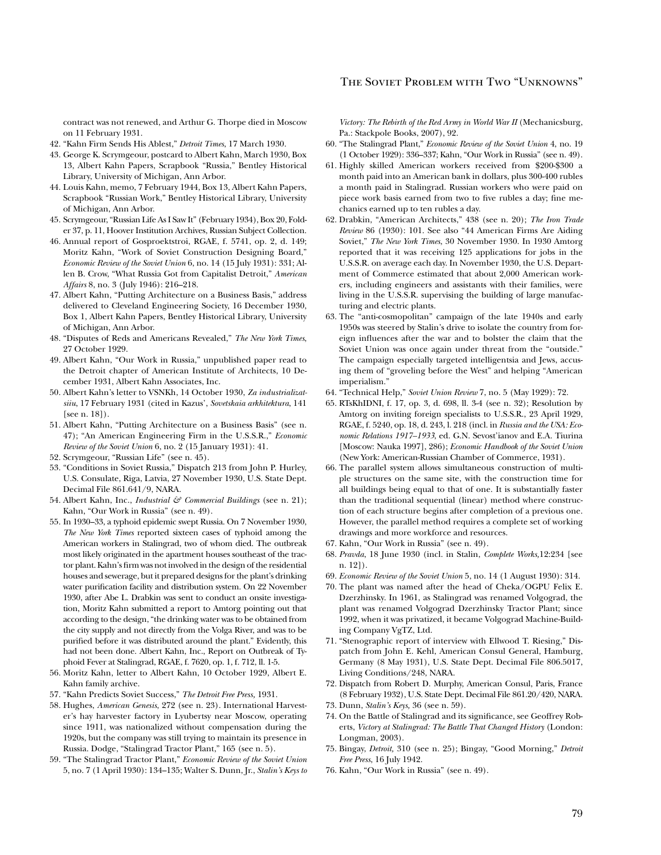contract was not renewed, and Arthur G. Thorpe died in Moscow on 11 February 1931.

- 42. "Kahn Firm Sends His Ablest," *Detroit Times*, 17 March 1930.
- 43. George K. Scrymgeour, postcard to Albert Kahn, March 1930, Box 13, Albert Kahn Papers, Scrapbook "Russia," Bentley Historical Library, University of Michigan, Ann Arbor.
- 44. Louis Kahn, memo, 7 February 1944, Box 13, Albert Kahn Papers, Scrapbook "Russian Work," Bentley Historical Library, University of Michigan, Ann Arbor.
- 45. Scrymgeour, "Russian Life As I Saw It" (February 1934), Box 20, Folder 37, p. 11, Hoover Institution Archives, Russian Subject Collection.
- 46. Annual report of Gosproektstroi, RGAE, f. 5741, op. 2, d. 149; Moritz Kahn, "Work of Soviet Construction Designing Board," *Economic Review of the Soviet Union* 6, no. 14 (15 July 1931): 331; Allen B. Crow, "What Russia Got from Capitalist Detroit," *American Affairs* 8, no. 3 (July 1946): 216–218.
- 47. Albert Kahn, "Putting Architecture on a Business Basis," address delivered to Cleveland Engineering Society, 16 December 1930, Box 1, Albert Kahn Papers, Bentley Historical Library, University of Michigan, Ann Arbor.
- 48. "Disputes of Reds and Americans Revealed," *The New York Times*, 27 October 1929.
- 49. Albert Kahn, "Our Work in Russia," unpublished paper read to the Detroit chapter of American Institute of Architects, 10 December 1931, Albert Kahn Associates, Inc.
- 50. Albert Kahn's letter to VSNKh, 14 October 1930, *Za industrializatsiiu*, 17 February 1931 (cited in Kazus', *Sovetskaia arkhitektura*, 141 [see n. 18]).
- 51. Albert Kahn, "Putting Architecture on a Business Basis" (see n. 47); "An American Engineering Firm in the U.S.S.R.," *Economic Review of the Soviet Union* 6, no. 2 (15 January 1931): 41.
- 52. Scrymgeour, "Russian Life" (see n. 45).
- 53. "Conditions in Soviet Russia," Dispatch 213 from John P. Hurley, U.S. Consulate, Riga, Latvia, 27 November 1930, U.S. State Dept. Decimal File 861.641/9, NARA.
- 54. Albert Kahn, Inc., *Industrial & Commercial Buildings* (see n. 21); Kahn, "Our Work in Russia" (see n. 49).
- 55. In 1930–33, a typhoid epidemic swept Russia. On 7 November 1930, *The New York Times* reported sixteen cases of typhoid among the American workers in Stalingrad, two of whom died. The outbreak most likely originated in the apartment houses southeast of the tractor plant. Kahn's firm was not involved in the design of the residential houses and sewerage, but it prepared designs for the plant's drinking water purification facility and distribution system. On 22 November 1930, after Abe L. Drabkin was sent to conduct an onsite investigation, Moritz Kahn submitted a report to Amtorg pointing out that according to the design, "the drinking water was to be obtained from the city supply and not directly from the Volga River, and was to be purified before it was distributed around the plant." Evidently, this had not been done. Albert Kahn, Inc., Report on Outbreak of Typhoid Fever at Stalingrad, RGAE, f. 7620, op. 1, f. 712, ll. 1-5.
- 56. Moritz Kahn, letter to Albert Kahn, 10 October 1929, Albert E. Kahn family archive.
- 57. "Kahn Predicts Soviet Success," *The Detroit Free Press,* 1931.
- 58. Hughes, *American Genesis*, 272 (see n. 23). International Harvester's hay harvester factory in Lyubertsy near Moscow, operating since 1911, was nationalized without compensation during the 1920s, but the company was still trying to maintain its presence in Russia. Dodge, "Stalingrad Tractor Plant," 165 (see n. 5).
- 59. "The Stalingrad Tractor Plant," *Economic Review of the Soviet Union* 5, no. 7 (1 April 1930): 134–135; Walter S. Dunn, Jr., *Stalin's Keys to*

*Victory: The Rebirth of the Red Army in World War II* (Mechanicsburg, Pa.: Stackpole Books, 2007), 92.

- 60. "The Stalingrad Plant," *Economic Review of the Soviet Union* 4, no. 19 (1 October 1929): 336–337; Kahn, "Our Work in Russia" (see n. 49).
- 61. Highly skilled American workers received from \$200-\$300 a month paid into an American bank in dollars, plus 300-400 rubles a month paid in Stalingrad. Russian workers who were paid on piece work basis earned from two to five rubles a day; fine mechanics earned up to ten rubles a day.
- 62. Drabkin, "American Architects," 438 (see n. 20); *The Iron Trade Review* 86 (1930): 101. See also "44 American Firms Are Aiding Soviet," *The New York Times*, 30 November 1930. In 1930 Amtorg reported that it was receiving 125 applications for jobs in the U.S.S.R. on average each day. In November 1930, the U.S. Department of Commerce estimated that about 2,000 American workers, including engineers and assistants with their families, were living in the U.S.S.R. supervising the building of large manufacturing and electric plants.
- 63. The "anti-cosmopolitan" campaign of the late 1940s and early 1950s was steered by Stalin's drive to isolate the country from foreign inluences after the war and to bolster the claim that the Soviet Union was once again under threat from the "outside." The campaign especially targeted intelligentsia and Jews, accusing them of "groveling before the West" and helping "American imperialism."
- 64. "Technical Help," *Soviet Union Review* 7, no. 5 (May 1929): 72.
- 65. RTsKhIDNI, f. 17, op. 3, d. 698, ll. 3-4 (see n. 32); Resolution by Amtorg on inviting foreign specialists to U.S.S.R., 23 April 1929, RGAE, f. 5240, op. 18, d. 243, l. 218 (incl. in *Russia and the USA: Economic Relations 1917–1933*, ed. G.N. Sevost'ianov and E.A. Tiurina [Moscow: Nauka 1997], 286); *Economic Handbook of the Soviet Union*  (New York: American-Russian Chamber of Commerce, 1931).
- 66. The parallel system allows simultaneous construction of multiple structures on the same site, with the construction time for all buildings being equal to that of one. It is substantially faster than the traditional sequential (linear) method where construction of each structure begins after completion of a previous one. However, the parallel method requires a complete set of working drawings and more workforce and resources.
- 67. Kahn, "Our Work in Russia" (see n. 49).
- 68. *Pravda*, 18 June 1930 (incl. in Stalin, *Complete Works,*12:234 [see n. 12]).
- 69. *Economic Review of the Soviet Union* 5, no. 14 (1 August 1930): 314.
- 70. The plant was named after the head of Cheka/OGPU Felix E. Dzerzhinsky. In 1961, as Stalingrad was renamed Volgograd, the plant was renamed Volgograd Dzerzhinsky Tractor Plant; since 1992, when it was privatized, it became Volgograd Machine-Building Company VgTZ, Ltd.
- 71. "Stenographic report of interview with Ellwood T. Riesing," Dispatch from John E. Kehl, American Consul General, Hamburg, Germany (8 May 1931), U.S. State Dept. Decimal File 806.5017, Living Conditions/248, NARA.
- 72. Dispatch from Robert D. Murphy, American Consul, Paris, France (8 February 1932), U.S. State Dept. Decimal File 861.20/420, NARA.
- 73. Dunn, *Stalin's Keys,* 36 (see n. 59).
- 74. On the Battle of Stalingrad and its significance, see Geoffrey Roberts, *Victory at Stalingrad: The Battle That Changed History* (London: Longman, 2003).
- 75. Bingay, *Detroit,* 310 (see n. 25); Bingay, "Good Morning," *Detroit Free Press*, 16 July 1942.
- 76. Kahn, "Our Work in Russia" (see n. 49).